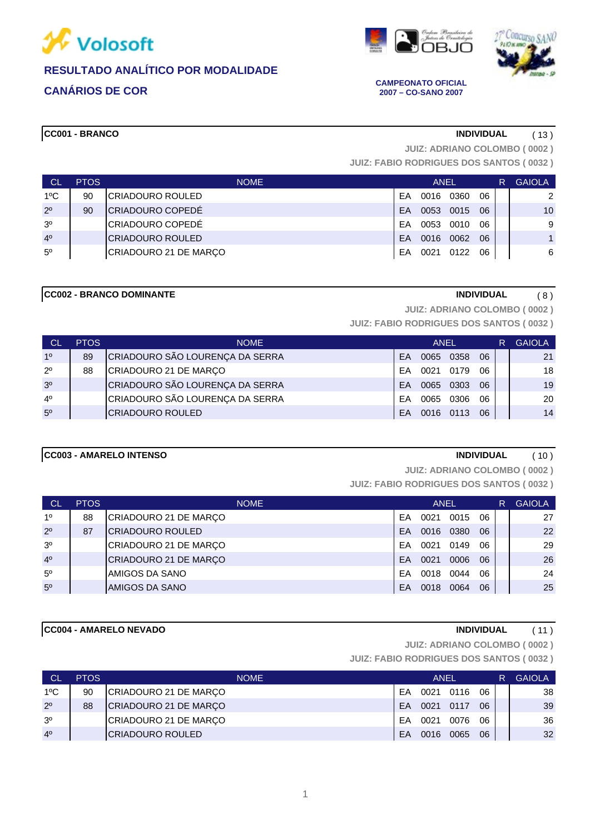





**2007 – CO-SANO 2007**

**CC001 - BRANCO INDIVIDUAL** ( 13 )

**JUIZ: ADRIANO COLOMBO ( 0002 )**

**JUIZ: FABIO RODRIGUES DOS SANTOS ( 0032 )**

| CI             | <b>PTOS</b> | <b>NOME</b>           | ANEL |      |      |    | R | <b>GAIOLA</b>  |
|----------------|-------------|-----------------------|------|------|------|----|---|----------------|
| $1^{\circ}$ C  | 90          | CRIADOURO ROULED      | FΑ   | 0016 | 0360 | 06 |   | $\overline{2}$ |
| $2^{\circ}$    | 90          | CRIADOURO COPEDÉ      | FA   | 0053 | 0015 | 06 |   | 10             |
| 3 <sup>o</sup> |             | CRIADOURO COPEDÉ      | FΑ   | 0053 | 0010 | 06 |   | 9              |
| 4 <sup>0</sup> |             | ICRIADOURO ROULED     | FΑ   | 0016 | 0062 | 06 |   |                |
| $5^{\circ}$    |             | CRIADOURO 21 DE MARÇO | FΑ   | 0021 | 0122 | 06 |   | 6              |

### **CC002 - BRANCO DOMINANTE INDIVIDUAL** ( 8 )

**JUIZ: ADRIANO COLOMBO ( 0002 )**

**JUIZ: FABIO RODRIGUES DOS SANTOS ( 0032 )**

| <b>CL</b>      | <b>PTOS</b> | <b>NOME</b>                     |           | <b>ANEL</b> |           |    | R | <b>GAIOLA</b> |
|----------------|-------------|---------------------------------|-----------|-------------|-----------|----|---|---------------|
| 1 <sup>0</sup> | 89          | CRIADOURO SÃO LOURENÇA DA SERRA | FA        |             | 0065 0358 | 06 |   | 21            |
| $2^{\circ}$    | 88          | CRIADOURO 21 DE MARÇO           | FA        | 0021        | 0179      | 06 |   | 18            |
| 3 <sup>o</sup> |             | CRIADOURO SÃO LOURENÇA DA SERRA | <b>FA</b> |             | 0065 0303 | 06 |   | 19            |
| 4 <sup>0</sup> |             | CRIADOURO SÃO LOURENÇA DA SERRA | FA        | 0065        | 0306      | 06 |   | 20            |
| 5 <sup>0</sup> |             | <b>CRIADOURO ROULED</b>         | FA        |             | 0016 0113 | 06 |   | 14            |

## **CC003 - AMARELO INTENSO INDIVIDUAL** ( 10 )

**JUIZ: ADRIANO COLOMBO ( 0002 )**

**JUIZ: FABIO RODRIGUES DOS SANTOS ( 0032 )**

| <b>CL</b>      | <b>PTOS</b> | <b>NOME</b>           |    | <b>ANEL</b> |      |    | R | <b>GAIOLA</b> |
|----------------|-------------|-----------------------|----|-------------|------|----|---|---------------|
| 10             | 88          | CRIADOURO 21 DE MARÇO | EA | 0021        | 0015 | 06 |   | 27            |
| $2^{\circ}$    | 87          | ICRIADOURO ROULED     | FA | 0016        | 0380 | 06 |   | 22            |
| 3 <sup>o</sup> |             | CRIADOURO 21 DE MARÇO | EA | 0021        | 0149 | 06 |   | 29            |
| 4 <sup>0</sup> |             | CRIADOURO 21 DE MARÇO | FA | 0021        | 0006 | 06 |   | 26            |
| $5^{\circ}$    |             | AMIGOS DA SANO        | FA | 0018        | 0044 | 06 |   | 24            |
| $5^{\circ}$    |             | AMIGOS DA SANO        | EA | 0018        | 0064 | 06 |   | 25            |

**CC004 - AMARELO NEVADO INDIVIDUAL** ( 11 )

**JUIZ: ADRIANO COLOMBO ( 0002 )**

| <b>CL</b>      | <b>PTOS</b> | <b>NOME</b>              | ANEL |      |      |    | <b>GAIOLA</b> |
|----------------|-------------|--------------------------|------|------|------|----|---------------|
| $1^{\circ}$ C  | 90          | CRIADOURO 21 DE MARÇO    | FΑ   | 0021 | 0116 | 06 | 38            |
| $2^{\circ}$    | 88          | CRIADOURO 21 DE MARÇO    | FA   | 0021 | 0117 | 06 | 39            |
| 3 <sup>o</sup> |             | CRIADOURO 21 DE MARÇO    | FA   | 0021 | 0076 | 06 | 36            |
| 4 <sup>0</sup> |             | <b>ICRIADOURO ROULED</b> | FA   | 0016 | 0065 | 06 | 32            |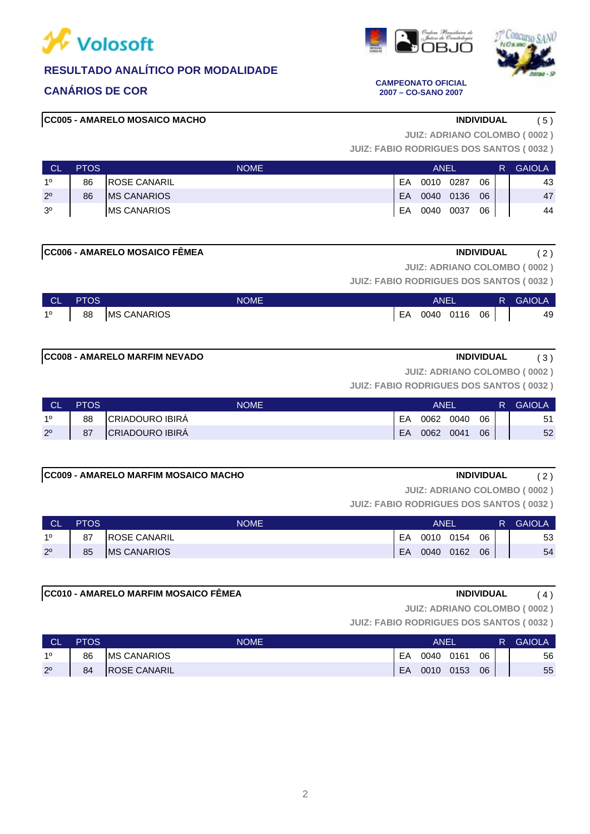





**CANÁRIOS DE COR CAMPEONATO OFICIAL 2007 – CO-SANO 2007**

# **CC005 - AMARELO MOSAICO MACHO INDIVIDUAL** ( 5 )

**JUIZ: ADRIANO COLOMBO ( 0002 )**

**JUIZ: FABIO RODRIGUES DOS SANTOS ( 0032 )**

| <b>CL</b>      | <b>PTOS</b> | <b>NOME</b>          |    | ANEI |      |    | R | <b>GAIOLA</b> |
|----------------|-------------|----------------------|----|------|------|----|---|---------------|
| 10             | 86          | <b>IROSE CANARIL</b> | EA | 0010 | 0287 | 06 |   | 43            |
| $2^{\circ}$    | 86          | <b>IMS CANARIOS</b>  | EA | 0040 | 0136 | 06 |   | 47            |
| 3 <sup>o</sup> |             | <b>IMS CANARIOS</b>  | EA | 0040 | 0037 | 06 |   | 44            |

**CC006 - AMARELO MOSAICO FÊMEA INDIVIDUAL** ( 2 )

**JUIZ: ADRIANO COLOMBO ( 0002 )**

**JUIZ: FABIO RODRIGUES DOS SANTOS ( 0032 )**

| <b>CLAN</b> | <b>PTOS</b> | <b>NOME</b>                       | ANEL            |  | <b>R</b> GAIOLA |
|-------------|-------------|-----------------------------------|-----------------|--|-----------------|
|             |             | 1 <sup>0</sup>   88   MS CANARIOS | EA 0040 0116 06 |  | 49              |

# **CC008 - AMARELO MARFIM NEVADO INDIVIDUAL** ( 3 )

**JUIZ: ADRIANO COLOMBO ( 0002 )**

**JUIZ: FABIO RODRIGUES DOS SANTOS ( 0032 )**

| <b>CL</b>   | <b>PTOS</b> | <b>NOME</b>            | ANEI |      |      |    | <b>GAIOLA</b> |
|-------------|-------------|------------------------|------|------|------|----|---------------|
| 10          | 88          | CRIADOURO IBIRA        | EA   | 0062 | 0040 | 06 | 51            |
| $2^{\circ}$ | 87          | <b>CRIADOURO IBIRA</b> | EA   | 0062 | 0041 | 06 | 52            |

### **CC009 - AMARELO MARFIM MOSAICO MACHO INDIVIDUAL** ( 2 )

**JUIZ: ADRIANO COLOMBO ( 0002 )**

**JUIZ: FABIO RODRIGUES DOS SANTOS ( 0032 )**

| CL          | <b>PTOS</b> | <b>NOME</b>          | ANEI |      |      |    | R | <b>GAIOLA</b> |
|-------------|-------------|----------------------|------|------|------|----|---|---------------|
| 10          | 87          | <b>IROSE CANARIL</b> | EA   | 0010 | 0154 | 06 |   | 53            |
| $2^{\circ}$ | 85          | <b>MS CANARIOS</b>   | EA   | 0040 | 0162 | 06 |   | 54            |

### **CC010 - AMARELO MARFIM MOSAICO FÊMEA INDIVIDUAL** ( 4 )

**JUIZ: ADRIANO COLOMBO ( 0002 )**

| <b>CL</b>   | <b>PTOS</b> | <b>NOME</b>         | ANEI |      |      |    | R. | <b>GAIOLA</b> |
|-------------|-------------|---------------------|------|------|------|----|----|---------------|
| 10          | 86          | <b>IMS CANARIOS</b> | EA   | 0040 | 0161 | 06 |    | 56            |
| $2^{\circ}$ | 84          | <b>ROSE CANARIL</b> | EA   | 0010 | 0153 | 06 |    | 55            |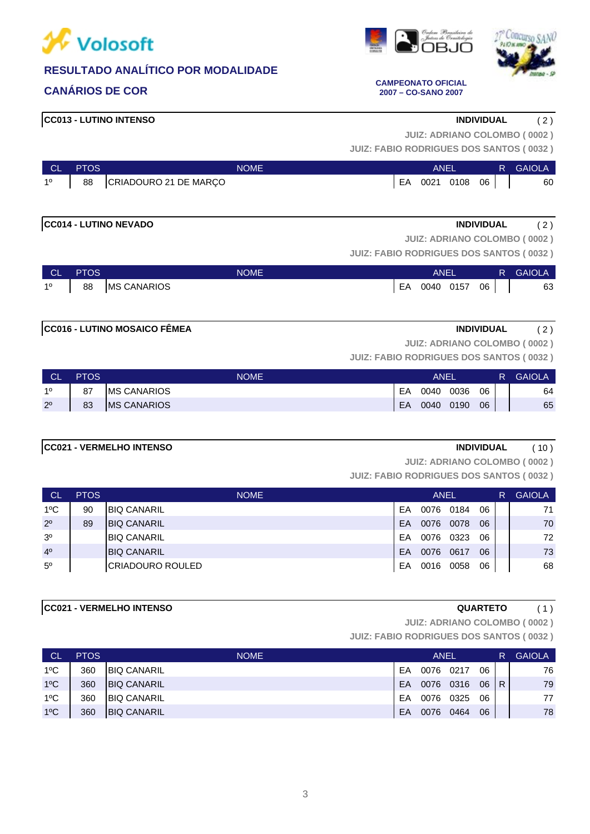





**CANÁRIOS DE COR CAMPEONATO OFICIAL 2007 – CO-SANO 2007**

# **CC013 - LUTINO INTENSO INDIVIDUAL** ( 2 )

**JUIZ: ADRIANO COLOMBO ( 0002 )**

**JUIZ: FABIO RODRIGUES DOS SANTOS ( 0032 )**

| ∣ CL'       | <b>PTOS</b> | <b>NOME</b>              | ANEL |      |         |  | <b>R GAIOLA</b> |
|-------------|-------------|--------------------------|------|------|---------|--|-----------------|
| $1^{\circ}$ |             | 88 CRIADOURO 21 DE MARÇO | EA   | 0021 | 0108 06 |  | 60              |

# **CC014 - LUTINO NEVADO INDIVIDUAL** ( 2 )

**JUIZ: ADRIANO COLOMBO ( 0002 )**

**JUIZ: FABIO RODRIGUES DOS SANTOS ( 0032 )**

| <b>CL</b> | <b>PTOS</b> | <b>NOME</b>        |    | <b>ANEL</b> |      |    | R | <b>GAIOLA</b> |
|-----------|-------------|--------------------|----|-------------|------|----|---|---------------|
| 10        | 88          | <b>MS CANARIOS</b> | EA | 0040        | 0157 | 06 |   | 63            |

# **CC016 - LUTINO MOSAICO FÊMEA INDIVIDUAL** ( 2 )

**JUIZ: ADRIANO COLOMBO ( 0002 )**

**JUIZ: FABIO RODRIGUES DOS SANTOS ( 0032 )**

| - CL        | <b>PTOS</b> | NOME                | ANEI |      |      |    | R | <b>GAIOLA</b> |
|-------------|-------------|---------------------|------|------|------|----|---|---------------|
| 10          | 87          | <b>IMS CANARIOS</b> | EA   | 0040 | 0036 | 06 |   | 64            |
| $2^{\circ}$ | 83          | <b>MS CANARIOS</b>  | EA   | 0040 | 0190 | 06 |   | 65            |

### **CC021 - VERMELHO INTENSO INDIVIDUAL** ( 10 )

**JUIZ: ADRIANO COLOMBO ( 0002 )**

**JUIZ: FABIO RODRIGUES DOS SANTOS ( 0032 )**

| <b>CL</b>      | <b>PTOS</b> | <b>NOME</b>         | <b>ANEL</b> |      |      |    | R. | <b>GAIOLA</b> |
|----------------|-------------|---------------------|-------------|------|------|----|----|---------------|
| $1^{\circ}$ C  | 90          | <b>BIQ CANARIL</b>  | EA          | 0076 | 0184 | 06 |    | 71            |
| $2^{\circ}$    | 89          | <b>BIQ CANARIL</b>  | EA          | 0076 | 0078 | 06 |    | 70            |
| 3 <sup>o</sup> |             | <b>IBIQ CANARIL</b> | EA          | 0076 | 0323 | 06 |    | 72            |
| 4 <sup>0</sup> |             | <b>BIQ CANARIL</b>  | EA          | 0076 | 0617 | 06 |    | 73            |
| $5^{\circ}$    |             | ICRIADOURO ROULED   | EA          | 0016 | 0058 | 06 |    | 68            |

### **CC021 - VERMELHO INTENSO QUARTETO** ( 1 )

**JUIZ: ADRIANO COLOMBO ( 0002 )**

| <b>CL</b>     | <b>PTOS</b> | <b>NOME</b>        | ANEL |      |      |    |     | <b>GAIOLA</b> |
|---------------|-------------|--------------------|------|------|------|----|-----|---------------|
| $1^{\circ}$ C | 360         | <b>BIQ CANARIL</b> | EA   | 0076 | 0217 | 06 |     | 76            |
| $1^{\circ}$ C | 360         | <b>BIQ CANARIL</b> | EA   | 0076 | 0316 | 06 | l R | 79            |
| $1^{\circ}$ C | 360         | <b>BIQ CANARIL</b> | EA   | 0076 | 0325 | 06 |     | 77            |
| $1^{\circ}$ C | 360         | <b>BIQ CANARIL</b> | EA   | 0076 | 0464 | 06 |     | 78            |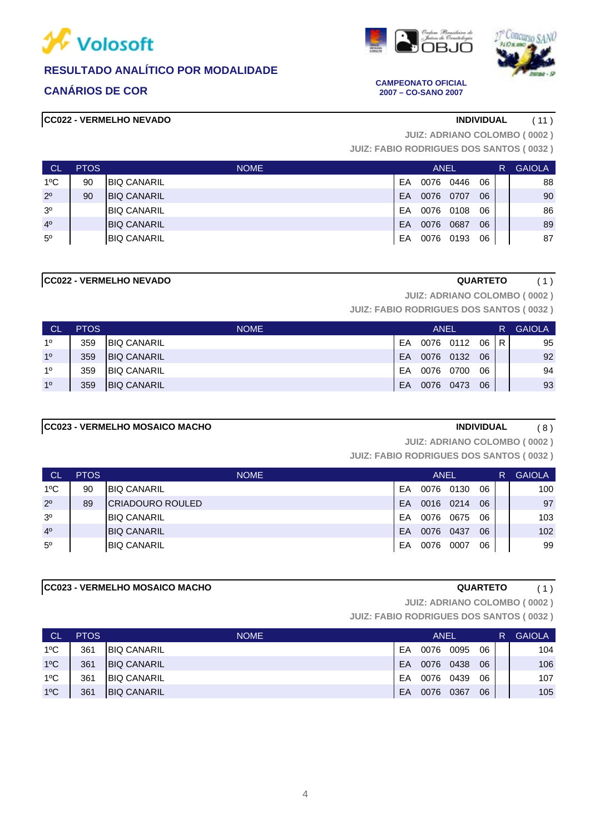







**CANÁRIOS DE COR CAMPEONATO OFICIAL 2007 – CO-SANO 2007**

**JUIZ: ADRIANO COLOMBO ( 0002 )**

**JUIZ: FABIO RODRIGUES DOS SANTOS ( 0032 )**

| <b>CL</b>      | <b>PTOS</b> | <b>NOME</b>        | <b>ANEL</b> |      |      |    |  | <b>GAIOLA</b> |
|----------------|-------------|--------------------|-------------|------|------|----|--|---------------|
| $1^{\circ}$ C  | 90          | <b>BIQ CANARIL</b> | EA          | 0076 | 0446 | 06 |  | 88            |
| $2^{\circ}$    | 90          | <b>BIQ CANARIL</b> | EA          | 0076 | 0707 | 06 |  | 90            |
| 3 <sup>o</sup> |             | <b>BIQ CANARIL</b> | EA          | 0076 | 0108 | 06 |  | 86            |
| 4 <sup>0</sup> |             | <b>BIQ CANARIL</b> | EA          | 0076 | 0687 | 06 |  | 89            |
| $5^{\circ}$    |             | <b>BIQ CANARIL</b> | EA          | 0076 | 0193 | 06 |  | 87            |

## **CC022 - VERMELHO NEVADO QUARTETO** ( 1 )

**JUIZ: ADRIANO COLOMBO ( 0002 )**

**JUIZ: FABIO RODRIGUES DOS SANTOS ( 0032 )**

| -CL            | <b>PTOS</b> | <b>NOME</b>         |    | ANEL      |           | R. | <b>GAIOLA</b> |    |
|----------------|-------------|---------------------|----|-----------|-----------|----|---------------|----|
| 10             | 359         | <b>BIQ CANARIL</b>  | EA |           | 0076 0112 | 06 | IR.           | 95 |
| 1 <sup>0</sup> | 359         | <b>IBIQ CANARIL</b> | EA | 0076 0132 |           | 06 |               | 92 |
| 10             | 359         | <b>BIQ CANARIL</b>  | FA | 0076      | 0700      | 06 |               | 94 |
| 10             | 359         | <b>BIQ CANARIL</b>  | EA | 0076      | 0473      | 06 |               | 93 |

### **CC023 - VERMELHO MOSAICO MACHO INDIVIDUAL** ( 8 )

**JUIZ: ADRIANO COLOMBO ( 0002 )**

**JUIZ: FABIO RODRIGUES DOS SANTOS ( 0032 )**

| ∣ CL           | <b>PTOS</b> | <b>NOME</b>             |    | <b>ANEL</b> |      |    | R. | <b>GAIOLA</b> |
|----------------|-------------|-------------------------|----|-------------|------|----|----|---------------|
| $1^{\circ}$ C  | 90          | <b>BIQ CANARIL</b>      | EA | 0076        | 0130 | 06 |    | 100           |
| $2^{\circ}$    | 89          | <b>CRIADOURO ROULED</b> | EA | 0016        | 0214 | 06 |    | 97            |
| 3 <sup>o</sup> |             | <b>BIQ CANARIL</b>      | EA | 0076        | 0675 | 06 |    | 103           |
| 4 <sup>0</sup> |             | <b>BIQ CANARIL</b>      | EA | 0076        | 0437 | 06 |    | 102           |
| $5^{\circ}$    |             | <b>BIQ CANARIL</b>      | EA | 0076        | 0007 | 06 |    | 99            |

# **CC023 - VERMELHO MOSAICO MACHO QUARTETO** ( 1 )

**JUIZ: ADRIANO COLOMBO ( 0002 )**

| <b>CL</b>     | <b>PTOS</b> | <b>NOME</b>        |    | ANEL |      | R. | <b>GAIOLA</b> |     |
|---------------|-------------|--------------------|----|------|------|----|---------------|-----|
| 1°C           | 361         | <b>BIQ CANARIL</b> | EA | 0076 | 0095 | 06 |               | 104 |
| $1^{\circ}$ C | 361         | <b>BIQ CANARIL</b> | EA | 0076 | 0438 | 06 |               | 106 |
| $1^{\circ}$ C | 361         | <b>BIQ CANARIL</b> | EA | 0076 | 0439 | 06 |               | 107 |
| $1^{\circ}$ C | 361         | <b>BIQ CANARIL</b> | EA | 0076 | 0367 | 06 |               | 105 |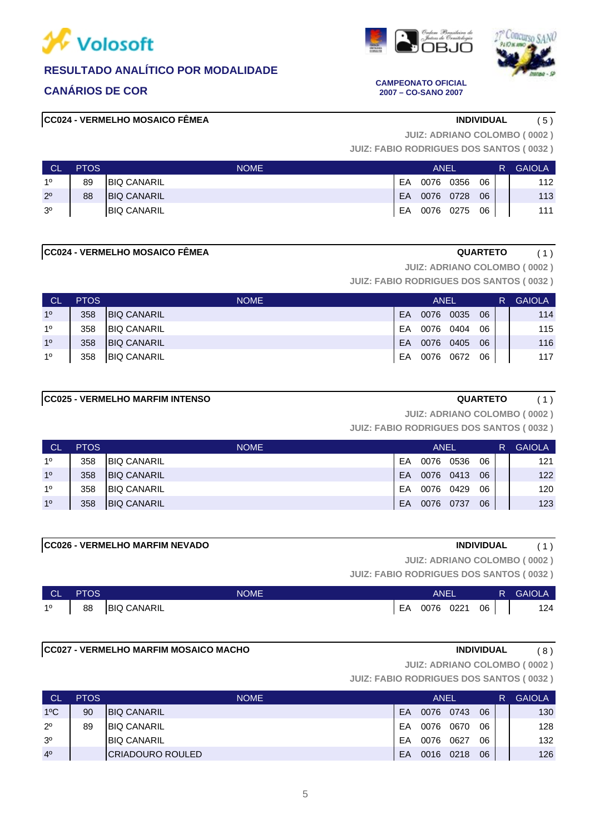





### **CANÁRIOS DE COR CAMPEONATO OFICIAL 2007 – CO-SANO 2007**

# **CC024 - VERMELHO MOSAICO FÊMEA INDIVIDUAL** ( 5 )

**JUIZ: ADRIANO COLOMBO ( 0002 )**

**JUIZ: FABIO RODRIGUES DOS SANTOS ( 0032 )**

| <b>CL</b>      | <b>PTOS</b> | <b>NOME</b>         | ANEL      |           |      |    |  | <b>GAIOLA</b> |
|----------------|-------------|---------------------|-----------|-----------|------|----|--|---------------|
| 10             | 89          | <b>BIQ CANARIL</b>  | EA        | 0076      | 0356 | 06 |  | 112           |
| $2^{\circ}$    | 88          | <b>IBIQ CANARIL</b> | <b>FA</b> | 0076 0728 |      | 06 |  | 113           |
| 3 <sup>0</sup> |             | <b>BIQ CANARIL</b>  | EA        | 0076 0275 |      | 06 |  | 111           |

### **CC024 - VERMELHO MOSAICO FÊMEA QUARTETO** ( 1 )

**JUIZ: ADRIANO COLOMBO ( 0002 )**

**JUIZ: FABIO RODRIGUES DOS SANTOS ( 0032 )**

| <b>CL</b>      | <b>PTOS</b> | <b>NOME</b>        | <b>ANEL</b> |           |      |    |  | <b>GAIOLA</b> |
|----------------|-------------|--------------------|-------------|-----------|------|----|--|---------------|
| 10             | 358         | <b>BIQ CANARIL</b> | EA          | 0076      | 0035 | 06 |  | 114           |
| 10             | 358         | <b>BIQ CANARIL</b> | EA          | 0076      | 0404 | 06 |  | 115           |
| 1 <sup>0</sup> | 358         | <b>BIQ CANARIL</b> | EA          | 0076      | 0405 | 06 |  | 116           |
| 10             | 358         | <b>BIQ CANARIL</b> | EA          | 0076 0672 |      | 06 |  | 117           |

### **CC025 - VERMELHO MARFIM INTENSO QUARTETO** ( 1 )

**JUIZ: ADRIANO COLOMBO ( 0002 )**

**JUIZ: FABIO RODRIGUES DOS SANTOS ( 0032 )**

| <b>CL</b> | <b>PTOS</b> | <b>NOME</b>         |           | <b>ANEL</b> |      | R' | <b>GAIOLA</b> |     |
|-----------|-------------|---------------------|-----------|-------------|------|----|---------------|-----|
| 10        | 358         | <b>BIQ CANARIL</b>  | EA        | 0076        | 0536 | 06 |               | 121 |
| 10        | 358         | <b>BIQ CANARIL</b>  | <b>FA</b> | 0076        | 0413 | 06 |               | 122 |
| 10        | 358         | <b>IBIQ CANARIL</b> | FA        | 0076        | 0429 | 06 |               | 120 |
| 10        | 358         | <b>BIQ CANARIL</b>  | EA        | 0076        | 0737 | 06 |               | 123 |

# **CC026 - VERMELHO MARFIM NEVADO INDIVIDUAL** ( 1 )

**JUIZ: ADRIANO COLOMBO ( 0002 )**

**JUIZ: FABIO RODRIGUES DOS SANTOS ( 0032 )**

| <b>CL</b> | <b>PTOS</b> | NOME                  | ANEI |                 |  |  | R GAIOLA |
|-----------|-------------|-----------------------|------|-----------------|--|--|----------|
|           |             | 1º   88   BIQ CANARIL |      | EA 0076 0221 06 |  |  | 124      |

### **CC027 - VERMELHO MARFIM MOSAICO MACHO INDIVIDUAL** ( 8 )

**JUIZ: ADRIANO COLOMBO ( 0002 )**

| <b>CL</b>      | <b>PTOS</b> | <b>NOME</b>              | <b>ANEL</b> |      |      |    |  | <b>GAIOLA</b> |
|----------------|-------------|--------------------------|-------------|------|------|----|--|---------------|
| $1^{\circ}$ C  | 90          | <b>BIQ CANARIL</b>       | EA          | 0076 | 0743 | 06 |  | 130           |
| $2^{\circ}$    | 89          | <b>IBIQ CANARIL</b>      | EA          | 0076 | 0670 | 06 |  | 128           |
| 3 <sup>o</sup> |             | <b>IBIQ CANARIL</b>      | EA          | 0076 | 0627 | 06 |  | 132           |
| 4 <sup>0</sup> |             | <b>ICRIADOURO ROULED</b> | EA          | 0016 | 0218 | 06 |  | 126           |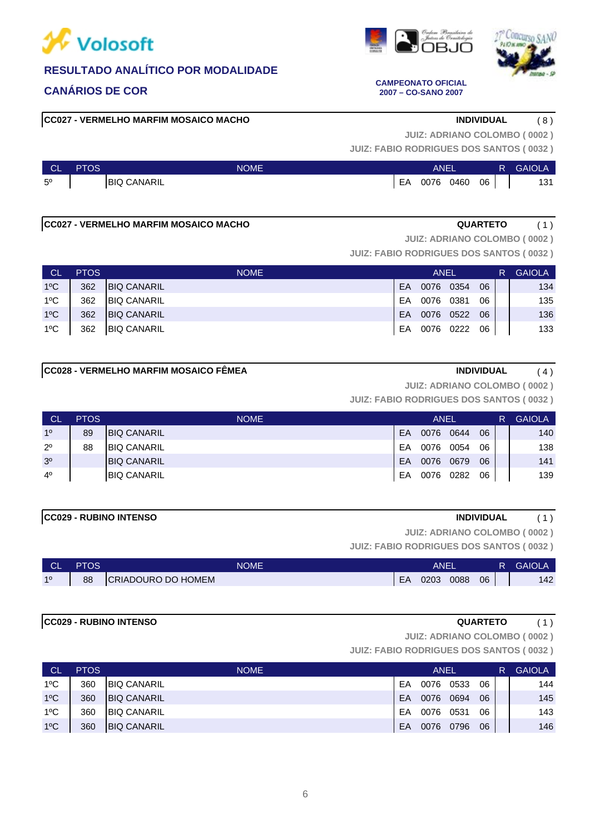

# **CC027 - VERMELHO MARFIM MOSAICO MACHO INDIVIDUAL** ( 8 )

**JUIZ: ADRIANO COLOMBO ( 0002 )**

**JUIZ: FABIO RODRIGUES DOS SANTOS ( 0032 )**

| CL          | <b>PTOS</b> | NOME               | ANE. |      |      |    | <b>GAIOLA</b> |
|-------------|-------------|--------------------|------|------|------|----|---------------|
| $5^{\circ}$ |             | <b>BIQ CANARIL</b> | EA   | 0076 | 0460 | 06 | 121<br>וטו    |

### **CC027 - VERMELHO MARFIM MOSAICO MACHO QUARTETO** ( 1 )

**JUIZ: ADRIANO COLOMBO ( 0002 )**

**JUIZ: FABIO RODRIGUES DOS SANTOS ( 0032 )**

| - CL          | <b>PTOS</b> | <b>NOME</b>        | ANEL |           |  |    |  | <b>GAIOLA</b> |
|---------------|-------------|--------------------|------|-----------|--|----|--|---------------|
| $1^{\circ}$ C | 362         | <b>BIQ CANARIL</b> | EA   | 0076 0354 |  | 06 |  | 134           |
| $1^{\circ}$ C | 362         | <b>BIQ CANARIL</b> | EA   | 0076 0381 |  | 06 |  | 135           |
| $1^{\circ}$ C | 362         | <b>BIQ CANARIL</b> | EA   | 0076 0522 |  | 06 |  | 136           |
| $1^{\circ}$ C | 362         | <b>BIQ CANARIL</b> | EA   | 0076 0222 |  | 06 |  | 133           |

**JUIZ: ADRIANO COLOMBO ( 0002 )**

**JUIZ: FABIO RODRIGUES DOS SANTOS ( 0032 )**

| <b>CL</b>      | <b>PTOS</b> | <b>NOME</b>         |    | ANEL |      | R  | <b>GAIOLA</b> |     |
|----------------|-------------|---------------------|----|------|------|----|---------------|-----|
| 10             | 89          | <b>BIQ CANARIL</b>  | EA | 0076 | 0644 | 06 |               | 140 |
| $2^{\circ}$    | 88          | <b>IBIQ CANARIL</b> | FA | 0076 | 0054 | 06 |               | 138 |
| 3 <sup>o</sup> |             | <b>BIQ CANARIL</b>  | EA | 0076 | 0679 | 06 |               | 141 |
| $4^{\circ}$    |             | <b>IBIQ CANARIL</b> | EA | 0076 | 0282 | 06 |               | 139 |

### **CC029 - RUBINO INTENSO INDIVIDUAL** ( 1 )

**JUIZ: ADRIANO COLOMBO ( 0002 )**

**JUIZ: FABIO RODRIGUES DOS SANTOS ( 0032 )**

| <b>CL</b> | <b>PTOS</b> | <b>NOME</b>        |    | ANEI |      |    | R | <b>GAIOLA</b> |
|-----------|-------------|--------------------|----|------|------|----|---|---------------|
| 10        | 88          | CRIADOURO DO HOMEM | EA | 0203 | 0088 | 06 |   | 142           |

# **CC029 - RUBINO INTENSO QUARTETO** ( 1 )

**JUIZ: ADRIANO COLOMBO ( 0002 )**

**JUIZ: FABIO RODRIGUES DOS SANTOS ( 0032 )**

| <b>CL</b>     | <b>PTOS</b> | <b>NOME</b>        | <b>ANEL</b> |      |      |    | R. | <b>GAIOLA</b> |
|---------------|-------------|--------------------|-------------|------|------|----|----|---------------|
| $1^{\circ}$ C | 360         | <b>BIQ CANARIL</b> | EA          | 0076 | 0533 | 06 |    | 144           |
| $1^{\circ}$ C | 360         | <b>BIQ CANARIL</b> | EA          | 0076 | 0694 | 06 |    | 145           |
| $1^{\circ}$ C | 360         | <b>BIQ CANARIL</b> | EA          | 0076 | 0531 | 06 |    | 143           |
| $1^{\circ}$ C | 360         | <b>BIQ CANARIL</b> | EA          | 0076 | 0796 | 06 |    | 146           |





### **CANÁRIOS DE COR CAMPEONATO OFICIAL 2007 – CO-SANO 2007**



| <b>CC028 - VERMELHO MARFIM MOSAICO FËMEA</b> | <b>INDIVIDUAL</b> |  |
|----------------------------------------------|-------------------|--|
|----------------------------------------------|-------------------|--|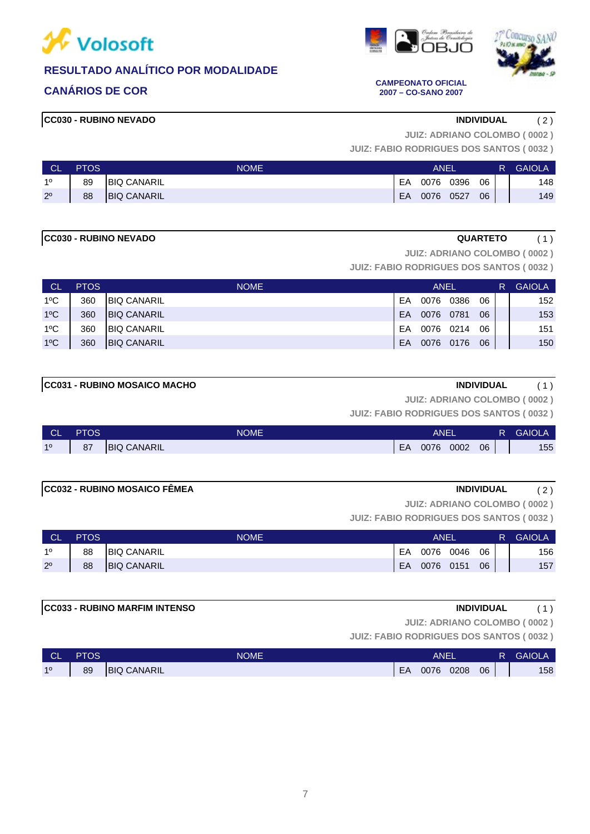







**CANÁRIOS DE COR CAMPEONATO OFICIAL 2007 – CO-SANO 2007**

**JUIZ: ADRIANO COLOMBO ( 0002 )**

**JUIZ: FABIO RODRIGUES DOS SANTOS ( 0032 )**

| <b>CL</b>   | <b>PTOS</b> | <b>NOME</b>        | ANEI |      |      |    | R. | <b>GAIOLA</b> |
|-------------|-------------|--------------------|------|------|------|----|----|---------------|
| 10          | 89          | <b>BIQ CANARIL</b> | EA   | 0076 | 0396 | 06 |    | 148           |
| $2^{\circ}$ | 88          | <b>BIQ CANARIL</b> | EA   | 0076 | 0527 | 06 |    | 149           |

### **CC030 - RUBINO NEVADO QUARTETO** ( 1 )

**JUIZ: ADRIANO COLOMBO ( 0002 )**

**JUIZ: FABIO RODRIGUES DOS SANTOS ( 0032 )**

| <b>CL</b>     | <b>PTOS</b> | <b>NOME</b>        | <b>ANEL</b> |      |      |    |  | <b>GAIOLA</b> |
|---------------|-------------|--------------------|-------------|------|------|----|--|---------------|
| $1^{\circ}$ C | 360         | <b>BIQ CANARIL</b> | EA          | 0076 | 0386 | 06 |  | 152           |
| $1^{\circ}$ C | 360         | <b>BIQ CANARIL</b> | EA          | 0076 | 0781 | 06 |  | 153           |
| $1^{\circ}$ C | 360         | <b>BIQ CANARIL</b> | EA          | 0076 | 0214 | 06 |  | 151           |
| $1^{\circ}$ C | 360         | <b>BIQ CANARIL</b> | EA          | 0076 | 0176 | 06 |  | 150           |

# **CC031 - RUBINO MOSAICO MACHO INDIVIDUAL** (1)

**JUIZ: ADRIANO COLOMBO ( 0002 )**

**JUIZ: FABIO RODRIGUES DOS SANTOS ( 0032 )**

| <b>CI</b><br><u>un</u> | <b>PTOS</b> | <b>NOME</b>         |    | <b>ANEI</b> |      |    | <b>GAIOLA</b> |
|------------------------|-------------|---------------------|----|-------------|------|----|---------------|
| 10                     | 87          | <b>IBIQ CANARIL</b> | EA | 0076        | 0002 | 06 | 155           |

| CC022 DUDINO MORAICO FÊMEA |
|----------------------------|

# **CC032 - RUBINO MOSAICO FÊMEA INDIVIDUAL** ( 2 )

**JUIZ: ADRIANO COLOMBO ( 0002 )**

**JUIZ: FABIO RODRIGUES DOS SANTOS ( 0032 )**

| <b>CL</b>   | <b>PTOS</b> | <b>NOME</b>         | ANEI |           |      |    | R. | <b>GAIOLA</b> |
|-------------|-------------|---------------------|------|-----------|------|----|----|---------------|
| 10          | 88          | <b>BIQ CANARIL</b>  | EA   | 0076      | 0046 | 06 |    | 156           |
| $2^{\circ}$ | 88          | <b>IBIQ CANARIL</b> | EA   | 0076 0151 |      | 06 |    | 157           |

### **CC033 - RUBINO MARFIM INTENSO INDIVIDUAL** ( 1 )

**JUIZ: ADRIANO COLOMBO ( 0002 )**

**JUIZ: FABIO RODRIGUES DOS SANTOS ( 0032 )**

| <b>CL</b> | <b>PTOS</b> | <b>NOME</b>        |    | ANEI |      |    | R | <b>GAIOLA</b> |
|-----------|-------------|--------------------|----|------|------|----|---|---------------|
| 10        | 89          | <b>BIQ CANARIL</b> | EA | 0076 | 0208 | 06 |   | 158           |

7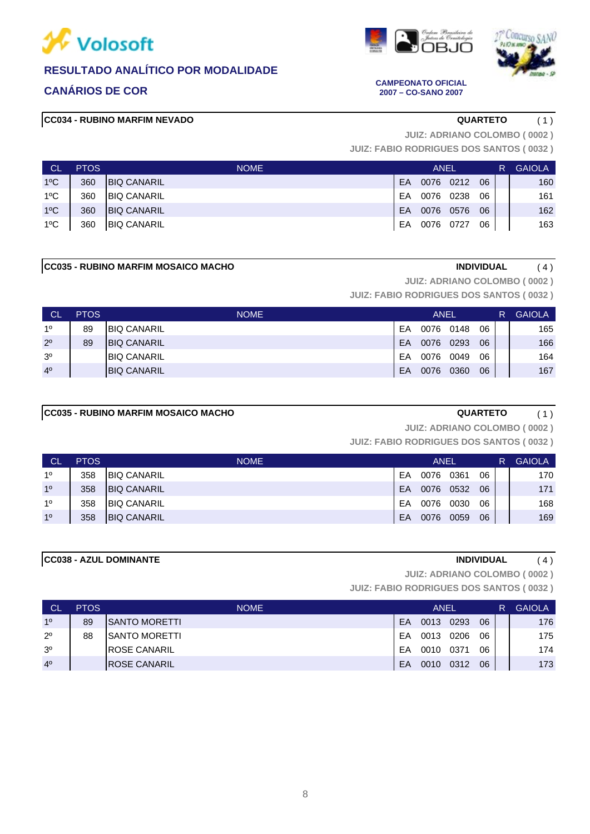





**CANÁRIOS DE COR CAMPEONATO OFICIAL 2007 – CO-SANO 2007**

# **CC034 - RUBINO MARFIM NEVADO QUARTETO** ( 1 )

**JUIZ: ADRIANO COLOMBO ( 0002 )**

**JUIZ: FABIO RODRIGUES DOS SANTOS ( 0032 )**

| - CL          | <b>PTOS</b> | <b>NOME</b>        | <b>ANEL</b> |           |           |    |  | <b>GAIOLA</b> |
|---------------|-------------|--------------------|-------------|-----------|-----------|----|--|---------------|
| $1^{\circ}$ C | 360         | <b>BIQ CANARIL</b> | EA          |           | 0076 0212 | 06 |  | 160           |
| $1^{\circ}$ C | 360         | <b>BIQ CANARIL</b> | FA          | 0076 0238 |           | 06 |  | 161           |
| $1^{\circ}$ C | 360         | <b>BIQ CANARIL</b> | EA          | 0076 0576 |           | 06 |  | 162           |
| $1^{\circ}$ C | 360         | <b>BIQ CANARIL</b> | EA          | 0076 0727 |           | 06 |  | 163           |

## **CC035 - RUBINO MARFIM MOSAICO MACHO INDIVIDUAL** ( 4 )

**JUIZ: ADRIANO COLOMBO ( 0002 )**

**JUIZ: FABIO RODRIGUES DOS SANTOS ( 0032 )**

| L CL           | <b>PTOS</b> | <b>NOME</b>         |    | ANEL |      |    | R | <b>GAIOLA</b> |
|----------------|-------------|---------------------|----|------|------|----|---|---------------|
| 10             | 89          | <b>BIQ CANARIL</b>  | EA | 0076 | 0148 | 06 |   | 165           |
| $2^{\circ}$    | 89          | <b>BIQ CANARIL</b>  | EA | 0076 | 0293 | 06 |   | 166           |
| 3 <sup>o</sup> |             | <b>IBIQ CANARIL</b> | EA | 0076 | 0049 | 06 |   | 164           |
| 4 <sup>0</sup> |             | <b>BIQ CANARIL</b>  | EA | 0076 | 0360 | 06 |   | 167           |

# **CC035 - RUBINO MARFIM MOSAICO MACHO QUARTETO** ( 1 )

**JUIZ: ADRIANO COLOMBO ( 0002 )**

**JUIZ: FABIO RODRIGUES DOS SANTOS ( 0032 )**

| ⊟ CL           | <b>PTOS</b> | <b>NOME</b>        |    | <b>ANEL</b> |      |    | R | <b>GAIOLA</b> |
|----------------|-------------|--------------------|----|-------------|------|----|---|---------------|
| 10             | 358         | <b>BIQ CANARIL</b> | EA | 0076        | 0361 | 06 |   | 170           |
| 1 <sup>0</sup> | 358         | <b>BIQ CANARIL</b> | EA | 0076        | 0532 | 06 |   | 171           |
| 10             | 358         | <b>BIQ CANARIL</b> | FA | 0076        | 0030 | 06 |   | 168           |
| 1 <sup>0</sup> | 358         | <b>BIQ CANARIL</b> | EA | 0076        | 0059 | 06 |   | 169           |

# **CC038 - AZUL DOMINANTE INDIVIDUAL** ( 4 )

**JUIZ: ADRIANO COLOMBO ( 0002 )**

| <b>CL</b>      | <b>PTOS</b> | <b>NOME</b>          |    | ANEL |      |    | R | <b>GAIOLA</b> |
|----------------|-------------|----------------------|----|------|------|----|---|---------------|
| 10             | 89          | ISANTO MORETTI       | EA | 0013 | 0293 | 06 |   | 176           |
| $2^{\circ}$    | 88          | ISANTO MORETTI       | EA | 0013 | 0206 | 06 |   | 175           |
| 3 <sup>o</sup> |             | <b>IROSE CANARIL</b> | EA | 0010 | 0371 | 06 |   | 174           |
| 4 <sup>0</sup> |             | <b>IROSE CANARIL</b> | EA | 0010 | 0312 | 06 |   | 173           |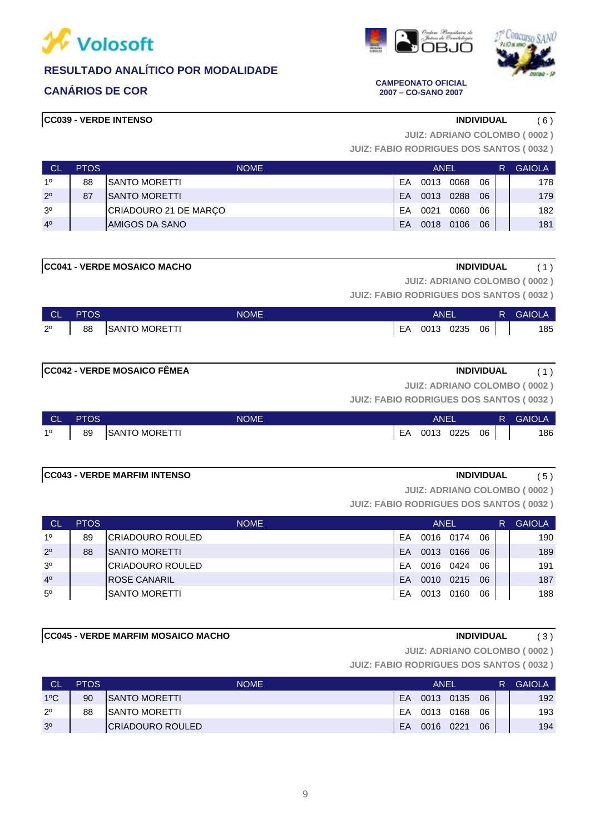

# **CANÁRIOS DE COR CAMPEONATO OFICIAL**

# **CC039 - VERDE INTENSO INDIVIDUAL** ( 6 )

**2007 – CO-SANO 2007**

**JUIZ: ADRIANO COLOMBO ( 0002 )**

**JUIZ: FABIO RODRIGUES DOS SANTOS ( 0032 )**

| ∟ CL           | <b>PTOS</b> | <b>NOME</b>           |    | ANEL |      |    | R | <b>GAIOLA</b> |
|----------------|-------------|-----------------------|----|------|------|----|---|---------------|
| 10             | 88          | ISANTO MORETTI        | EA | 0013 | 0068 | 06 |   | 178           |
| $2^{\circ}$    | 87          | <b>ISANTO MORETTI</b> | EA | 0013 | 0288 | 06 |   | 179           |
| 3 <sup>o</sup> |             | CRIADOURO 21 DE MARÇO | EA | 0021 | 0060 | 06 |   | 182           |
| 4 <sup>0</sup> |             | AMIGOS DA SANO        | EA | 0018 | 0106 | 06 |   | 181           |

| <b>MACHO</b><br>- VERDE MOSAICO<br>ICCO4 <sup>2</sup> | ומועוח<br><b>INF</b><br>, |  |
|-------------------------------------------------------|---------------------------|--|

**JUIZ: ADRIANO COLOMBO ( 0002 )**

**JUIZ: FABIO RODRIGUES DOS SANTOS ( 0032 )**

| ∣ CL ∃ | <b>PTOS</b> | <b>NOME</b>                         | ANEL            |  | R GAIOLA |
|--------|-------------|-------------------------------------|-----------------|--|----------|
|        |             | 2 <sup>0</sup>   88   SANTO MORETTI | EA 0013 0235 06 |  | 185      |

# **CC042 - VERDE MOSAICO FÊMEA INDIVIDUAL** ( 1 )

**JUIZ: ADRIANO COLOMBO ( 0002 )**

**JUIZ: FABIO RODRIGUES DOS SANTOS ( 0032 )**

| ∣ CL'       | <b>PTOS</b> | <b>NOME</b>          |    | ANEL |      |      | R GAIOLA |
|-------------|-------------|----------------------|----|------|------|------|----------|
| $1^{\circ}$ | 89          | <b>SANTO MORETTI</b> | EA | 0013 | 0225 | 06 I | 186      |

### **CC043 - VERDE MARFIM INTENSO INDIVIDUAL** ( 5 )

**JUIZ: ADRIANO COLOMBO ( 0002 )**

**JUIZ: FABIO RODRIGUES DOS SANTOS ( 0032 )**

| CL             | <b>PTOS</b> | <b>NOME</b>             |    | <b>ANEL</b> |      |    | <b>GAIOLA</b> |
|----------------|-------------|-------------------------|----|-------------|------|----|---------------|
| 1 <sup>0</sup> | 89          | <b>CRIADOURO ROULED</b> | EΑ | 0016        | 0174 | 06 | 190           |
| $2^{\circ}$    | 88          | <b>SANTO MORETTI</b>    | EA | 0013        | 0166 | 06 | 189           |
| 3 <sup>o</sup> |             | ICRIADOURO ROULED       | EA | 0016        | 0424 | 06 | 191           |
| 4 <sup>0</sup> |             | <b>IROSE CANARIL</b>    | EA | 0010        | 0215 | 06 | 187           |
| $5^{\circ}$    |             | ISANTO MORETTI          | EA | 0013        | 0160 | 06 | 188           |

# **CC045 - VERDE MARFIM MOSAICO MACHO INDIVIDUAL** ( 3 )

**JUIZ: ADRIANO COLOMBO ( 0002 )**

| <b>CL</b>      | <b>PTOS</b> | <b>NOME</b>           |    | ANFI      |      |    | R | <b>GAIOLA</b> |
|----------------|-------------|-----------------------|----|-----------|------|----|---|---------------|
| $1^{\circ}$ C  | 90          | <b>ISANTO MORETTI</b> | FA | 0013 0135 |      | 06 |   | 192           |
| $2^{\circ}$    | 88          | <b>ISANTO MORETTI</b> | FA | 0013      | 0168 | 06 |   | 193           |
| 3 <sup>o</sup> |             | ICRIADOURO ROULED     | EA | 0016 0221 |      | 06 |   | 194           |

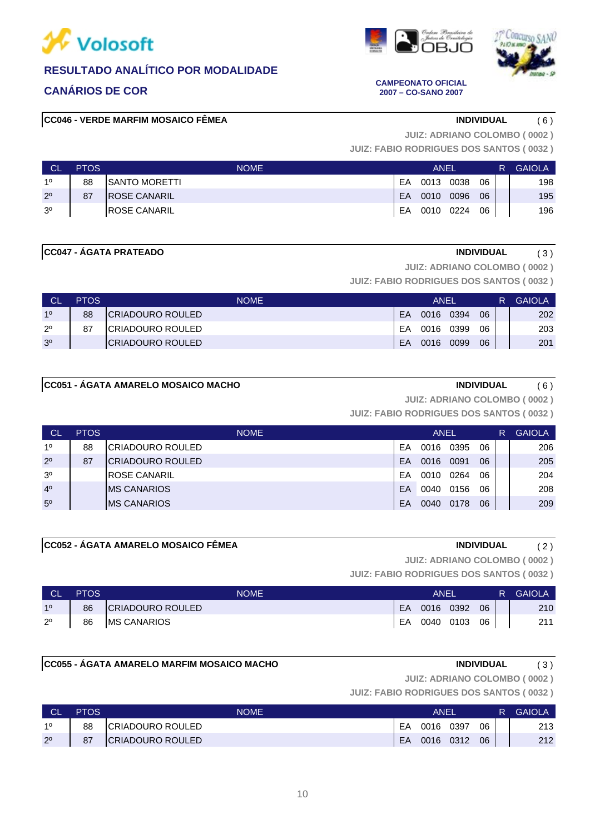







**CANÁRIOS DE COR CAMPEONATO OFICIAL 2007 – CO-SANO 2007**

**JUIZ: ADRIANO COLOMBO ( 0002 )**

**JUIZ: FABIO RODRIGUES DOS SANTOS ( 0032 )**

| <b>CL</b>      | <b>PTOS</b> | <b>NOME</b>           |    | <b>ANEL</b> |      |    | <b>GAIOLA</b> |
|----------------|-------------|-----------------------|----|-------------|------|----|---------------|
| 10             | 88          | <b>ISANTO MORETTI</b> | EA | 0013        | 0038 | 06 | 198           |
| $2^{\circ}$    | 87          | <b>IROSE CANARIL</b>  | EA | 0010        | 0096 | 06 | 195           |
| 3 <sup>o</sup> |             | <b>IROSE CANARIL</b>  | EA | 0010 0224   |      | 06 | 196           |

### **CC047 - ÁGATA PRATEADO INDIVIDUAL** ( 3 )

**JUIZ: ADRIANO COLOMBO ( 0002 )**

**JUIZ: FABIO RODRIGUES DOS SANTOS ( 0032 )**

|                | <b>PTOS</b> | <b>NOME</b>       |    | ANEI |      |    | <b>GAIOLA</b> |
|----------------|-------------|-------------------|----|------|------|----|---------------|
| 10             | 88          | ICRIADOURO ROULED | FA | 0016 | 0394 | 06 | 202           |
| $2^{\circ}$    | 87          | ICRIADOURO ROULED | FΑ | 0016 | 0399 | 06 | 203           |
| 3 <sup>o</sup> |             | ICRIADOURO ROULED | EA | 0016 | 0099 | 06 | 201           |

# **CC051 - ÁGATA AMARELO MOSAICO MACHO INDIVIDUAL** ( 6 )

**JUIZ: ADRIANO COLOMBO ( 0002 )**

**JUIZ: FABIO RODRIGUES DOS SANTOS ( 0032 )**

| <b>CL</b>      | <b>PTOS</b> | <b>NOME</b>              |    | <b>ANEL</b> |      |    | R | <b>GAIOLA</b> |
|----------------|-------------|--------------------------|----|-------------|------|----|---|---------------|
| 10             | 88          | ICRIADOURO ROULED        | EA | 0016        | 0395 | 06 |   | 206           |
| $2^{\circ}$    | 87          | <b>ICRIADOURO ROULED</b> | EA | 0016        | 0091 | 06 |   | 205           |
| 3 <sup>o</sup> |             | <b>IROSE CANARIL</b>     | EA | 0010        | 0264 | 06 |   | 204           |
| 4 <sup>0</sup> |             | <b>IMS CANARIOS</b>      | EA | 0040        | 0156 | 06 |   | 208           |
| $5^{\circ}$    |             | <b>IMS CANARIOS</b>      | EA | 0040        | 0178 | 06 |   | 209           |

# **CC052 - ÁGATA AMARELO MOSAICO FÊMEA INDIVIDUAL** ( 2 )

**JUIZ: ADRIANO COLOMBO ( 0002 )**

**JUIZ: FABIO RODRIGUES DOS SANTOS ( 0032 )**

| <b>CL</b>      | <b>PTOS</b> | <b>NOME</b>        |     | ANEL      |      |    | R. | <b>GAIOLA</b> |
|----------------|-------------|--------------------|-----|-----------|------|----|----|---------------|
| 1 <sup>o</sup> | 86          | CRIADOURO ROULED   | EA. | 0016      | 0392 | 06 |    | 210           |
| $2^{\circ}$    | 86          | <b>MS CANARIOS</b> | EA  | 0040 0103 |      | 06 |    | 211           |

### **CC055 - ÁGATA AMARELO MARFIM MOSAICO MACHO INDIVIDUAL** ( 3 )

**JUIZ: ADRIANO COLOMBO ( 0002 )**

| CL             | <b>PTOS</b> | <b>NOME</b>             | ANEI |      |      |    | R | <b>GAIOLA</b> |
|----------------|-------------|-------------------------|------|------|------|----|---|---------------|
| 10             | 88          | CRIADOURO ROULED        | EA   | 0016 | 0397 | 06 |   | 213           |
| 2 <sup>o</sup> | 87          | <b>CRIADOURO ROULED</b> | EA   | 0016 | 0312 | 06 |   | 212           |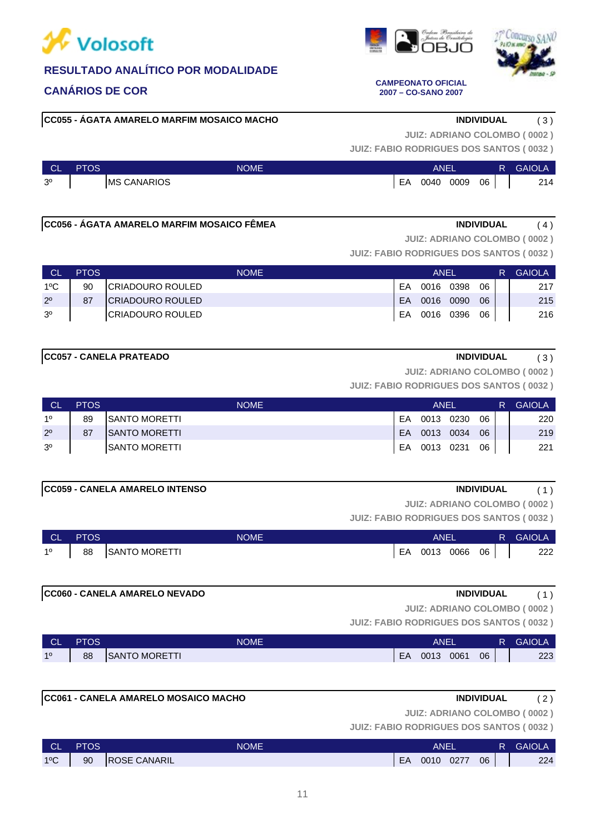

# **CANÁRIOS DE COR CAMPEONATO OFICIAL**

**CC055 - ÁGATA AMARELO MARFIM MOSAICO MACHO INDIVIDUAL** ( 3 )



**JUIZ: ADRIANO COLOMBO ( 0002 )**

**JUIZ: FABIO RODRIGUES DOS SANTOS ( 0032 )**

**2007 – CO-SANO 2007**

| <b>CL</b>      | PTOS | NOME <sup>1</sup>   | ANEI |      |      |    | R | <b>GAIOLA</b> |
|----------------|------|---------------------|------|------|------|----|---|---------------|
| 3 <sup>o</sup> |      | <b>IMS CANARIOS</b> | EA   | 0040 | 0009 | 06 |   | 214           |

### **CC056 - ÁGATA AMARELO MARFIM MOSAICO FÊMEA INDIVIDUAL** ( 4 )

**JUIZ: ADRIANO COLOMBO ( 0002 )**

**JUIZ: FABIO RODRIGUES DOS SANTOS ( 0032 )**

| <b>CI</b>      | <b>PTOS</b> | <b>NOME</b>             | <b>ANFI</b> |           |      |    | R. | <b>GAIOLA</b> |
|----------------|-------------|-------------------------|-------------|-----------|------|----|----|---------------|
| $1^{\circ}$ C  | 90          | CRIADOURO ROULED        | EA          | 0016      | 0398 | 06 |    | 217           |
| $2^{\circ}$    | 87          | <b>CRIADOURO ROULED</b> | EA.         | 0016 0090 |      | 06 |    | 215           |
| 3 <sup>o</sup> |             | <b>CRIADOURO ROULED</b> | EA          | 0016 0396 |      | 06 |    | 216           |

### **CC057 - CANELA PRATEADO INDIVIDUAL** ( 3 )

**JUIZ: ADRIANO COLOMBO ( 0002 )**

**JUIZ: FABIO RODRIGUES DOS SANTOS ( 0032 )**

| <b>CL</b>      | <b>PTOS</b> | <b>NOME</b>           | ANEL |           |      |    | R. | <b>GAIOLA</b> |
|----------------|-------------|-----------------------|------|-----------|------|----|----|---------------|
| 10             | 89          | <b>ISANTO MORETTI</b> | FA   | 0013 0230 |      | 06 |    | 220           |
| $2^{\circ}$    | 87          | <b>ISANTO MORETTI</b> | FA.  | 0013      | 0034 | 06 |    | 219           |
| 3 <sup>o</sup> |             | ISANTO MORETTI        | EA   | 0013 0231 |      | 06 |    | 221           |

# **CC059 - CANELA AMARELO INTENSO INDIVIDUAL** ( 1 )

**JUIZ: ADRIANO COLOMBO ( 0002 )**

**JUIZ: FABIO RODRIGUES DOS SANTOS ( 0032 )**

| CL             | PTOS | <b>NOME</b>           | ANEI |      |      |    | <b>GAIOLA</b> |
|----------------|------|-----------------------|------|------|------|----|---------------|
| 1 <sup>0</sup> | 88   | <b>ISANTO MORETTI</b> | EA   | 0013 | 0066 | 06 | 222           |

**CC060 - CANELA AMARELO NEVADO INDIVIDUAL** ( 1 )

**JUIZ: ADRIANO COLOMBO ( 0002 )**

**JUIZ: FABIO RODRIGUES DOS SANTOS ( 0032 )**

| <b>CL</b> | PTOS | <b>NOME</b>           | ANEI |      |      |    | <b>GAIOLA</b> |
|-----------|------|-----------------------|------|------|------|----|---------------|
| 10        | 88   | <b>ISANTO MORETTI</b> | EA   | 0013 | 0061 | 06 | 223           |

# **CC061 - CANELA AMARELO MOSAICO MACHO INDIVIDUAL** ( 2 )

**JUIZ: ADRIANO COLOMBO ( 0002 )**

| <b>CL</b>     | <b>PTOS</b> | NOME'                | ANEI |      |      |    | R | <b>GAIOLA</b> |
|---------------|-------------|----------------------|------|------|------|----|---|---------------|
| $1^{\circ}$ C | 90          | <b>IROSE CANARIL</b> | EA   | 0010 | 0277 | 06 |   | 224           |





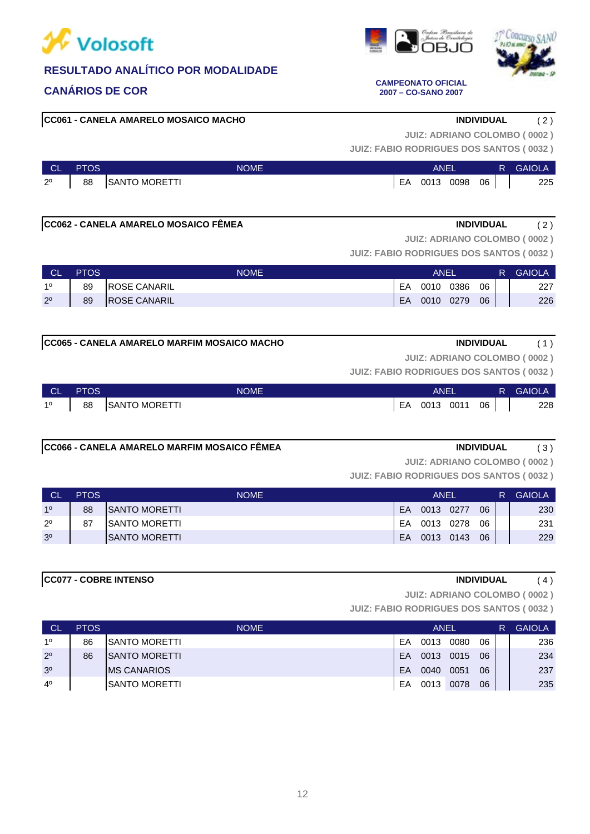

# **CANÁRIOS DE COR CAMPEONATO OFICIAL**

**CC061 - CANELA AMARELO MOSAICO MACHO INDIVIDUAL** ( 2 )

**JUIZ: ADRIANO COLOMBO ( 0002 )**

**JUIZ: FABIO RODRIGUES DOS SANTOS ( 0032 )**

| <b>CL</b>   | <b>PTOS</b> | <b>NOME</b>  | ANEL |      |      |    | R. | <b>GAIOLA</b> |
|-------------|-------------|--------------|------|------|------|----|----|---------------|
| $2^{\circ}$ | 88          | SANTO MORETT | EA   | 0013 | 0098 | 06 |    | 225           |

### **CC062 - CANELA AMARELO MOSAICO FÊMEA INDIVIDUAL** ( 2 )

**JUIZ: ADRIANO COLOMBO ( 0002 )**

**JUIZ: FABIO RODRIGUES DOS SANTOS ( 0032 )**

| <b>CL</b>   | <b>PTOS</b> | <b>NOME</b>          | ANEI |      |      |    | <b>GAIOLA</b> |
|-------------|-------------|----------------------|------|------|------|----|---------------|
| 10          | 89          | <b>IROSE CANARIL</b> | EA   | 0010 | 0386 | 06 | 227           |
| $2^{\circ}$ | 89          | <b>ROSE CANARIL</b>  | EA   | 0010 | 0279 | 06 | 226           |

**CC065 - CANELA AMARELO MARFIM MOSAICO MACHO INDIVIDUAL** ( 1 )

**JUIZ: ADRIANO COLOMBO ( 0002 )**

**JUIZ: FABIO RODRIGUES DOS SANTOS ( 0032 )**

| <b>CLA</b>  | <b>PTOS</b> | <b>NOME</b>      | ANEI |              |  |    | <b>R</b> GAIOLA |
|-------------|-------------|------------------|------|--------------|--|----|-----------------|
| $1^{\circ}$ |             | 88 SANTO MORETTI |      | EA 0013 0011 |  | 06 | 228             |

# **CC066 - CANELA AMARELO MARFIM MOSAICO FÊMEA INDIVIDUAL** ( 3 )

**JUIZ: ADRIANO COLOMBO ( 0002 )**

**JUIZ: FABIO RODRIGUES DOS SANTOS ( 0032 )**

| <b>CL</b>      | <b>PTOS</b> | <b>NOME</b>           | ANEL |      |      |    |  | <b>GAIOLA</b> |
|----------------|-------------|-----------------------|------|------|------|----|--|---------------|
| 10             | 88          | <b>ISANTO MORETTI</b> | EA   | 0013 | 0277 | 06 |  | 230           |
| $2^{\circ}$    | 87          | <b>ISANTO MORETTI</b> | EA   | 0013 | 0278 | 06 |  | 231           |
| 3 <sup>o</sup> |             | <b>ISANTO MORETTI</b> | EA   | 0013 | 0143 | 06 |  | 229           |

**CC077 - COBRE INTENSO INDIVIDUAL** ( 4 )

**JUIZ: ADRIANO COLOMBO ( 0002 )**

**JUIZ: FABIO RODRIGUES DOS SANTOS ( 0032 )**

| ∟ CL           | <b>PTOS</b> | <b>NOME</b>         |    | <b>ANEL</b> |      |    | R | <b>GAIOLA</b> |
|----------------|-------------|---------------------|----|-------------|------|----|---|---------------|
| 10             | 86          | ISANTO MORETTI      | FA | 0013        | 0080 | 06 |   | 236           |
| $2^{\circ}$    | 86          | ISANTO MORETTI      | EA | 0013        | 0015 | 06 |   | 234           |
| 3 <sup>o</sup> |             | <b>IMS CANARIOS</b> | EA | 0040        | 0051 | 06 |   | 237           |
| $4^{\circ}$    |             | ISANTO MORETTI      | EA | 0013        | 0078 | 06 |   | 235           |



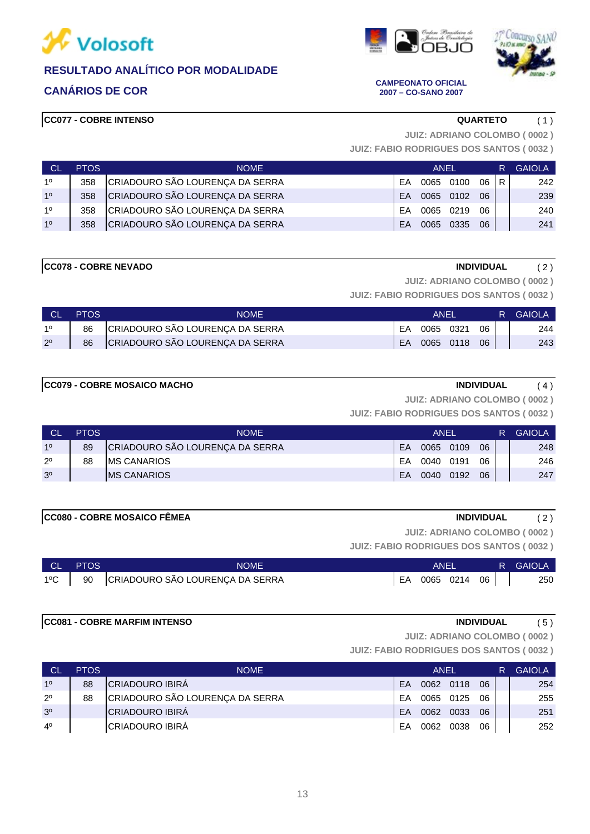







**CANÁRIOS DE COR CAMPEONATO OFICIAL 2007 – CO-SANO 2007**

**JUIZ: ADRIANO COLOMBO ( 0002 )**

**JUIZ: FABIO RODRIGUES DOS SANTOS ( 0032 )**

| - CL           | <b>PTOS</b> | <b>NOME</b>                     | ANEL      |      |      |      | R. | <b>GAIOLA</b> |
|----------------|-------------|---------------------------------|-----------|------|------|------|----|---------------|
| 1 <sup>0</sup> | 358         | CRIADOURO SÃO LOURENÇA DA SERRA | FA        | 0065 | 0100 | 06 R |    | 242           |
| 1 <sup>0</sup> | 358         | CRIADOURO SÃO LOURENÇA DA SERRA | <b>FA</b> | 0065 | 0102 | 06   |    | 239           |
| 1 <sup>0</sup> | 358         | CRIADOURO SÃO LOURENÇA DA SERRA | <b>FA</b> | 0065 | 0219 | 06   |    | 240           |
| 10             | 358         | CRIADOURO SÃO LOURENÇA DA SERRA | <b>FA</b> | 0065 | 0335 | 06   |    | 241           |

# **CC078 - COBRE NEVADO INDIVIDUAL** ( 2 )

**JUIZ: ADRIANO COLOMBO ( 0002 )**

**JUIZ: FABIO RODRIGUES DOS SANTOS ( 0032 )**

| <b>CL</b>   | <b>PTOS</b> | NOME                            | ANEL |           |           |    | R GAIOLA |
|-------------|-------------|---------------------------------|------|-----------|-----------|----|----------|
| 10          | 86          | CRIADOURO SÃO LOURENÇA DA SERRA | EA   | 0065 0321 |           | 06 | 244      |
| $2^{\circ}$ | 86          | CRIADOURO SÃO LOURENÇA DA SERRA | EA.  |           | 0065 0118 | 06 | 243      |

# **CC079 - COBRE MOSAICO MACHO INDIVIDUAL** ( 4 )

**JUIZ: FABIO RODRIGUES DOS SANTOS ( 0032 ) JUIZ: ADRIANO COLOMBO ( 0002 )**

| <b>CL</b>      | <b>PTOS</b> | <b>NOME</b>                     | ANEL |      |      |    | R | <b>GAIOLA</b> |
|----------------|-------------|---------------------------------|------|------|------|----|---|---------------|
| 10             | 89          | CRIADOURO SÃO LOURENÇA DA SERRA | EA   | 0065 | 0109 | 06 |   | 248           |
| $2^{\circ}$    | 88          | <b>IMS CANARIOS</b>             | FA   | 0040 | 0191 | 06 |   | 246           |
| 3 <sup>o</sup> |             | <b>MS CANARIOS</b>              | EA   | 0040 | 0192 | 06 |   | 247           |

### **CC080 - COBRE MOSAICO FÊMEA INDIVIDUAL** ( 2 )

**JUIZ: ADRIANO COLOMBO ( 0002 )**

**JUIZ: FABIO RODRIGUES DOS SANTOS ( 0032 )**

|               | CL PTOS | <b>NOME</b>                        | ANEL            |  | <b>R</b> GAIOLA |
|---------------|---------|------------------------------------|-----------------|--|-----------------|
| $1^{\circ}$ C |         | 90 CRIADOURO SÃO LOURENÇA DA SERRA | EA 0065 0214 06 |  | 250             |

# **CC081 - COBRE MARFIM INTENSO INDIVIDUAL** ( 5 )

**JUIZ: ADRIANO COLOMBO ( 0002 )**

| <b>CL</b>      | <b>PTOS</b> | <b>NOME</b>                     | ANEL      |           |      |    | R | <b>GAIOLA</b> |
|----------------|-------------|---------------------------------|-----------|-----------|------|----|---|---------------|
| 10             | 88          | <b>CRIADOURO IBIRÁ</b>          | FA        | 0062 0118 |      | 06 |   | 254           |
| $2^{\circ}$    | 88          | CRIADOURO SÃO LOURENÇA DA SERRA | FA        | 0065 0125 |      | 06 |   | 255           |
| 3 <sup>o</sup> |             | <b>CRIADOURO IBIRÁ</b>          | <b>FA</b> | 0062      | 0033 | 06 |   | 251           |
| $4^{\circ}$    |             | <b>CRIADOURO IBIRÁ</b>          | FA        | 0062      | 0038 | 06 |   | 252           |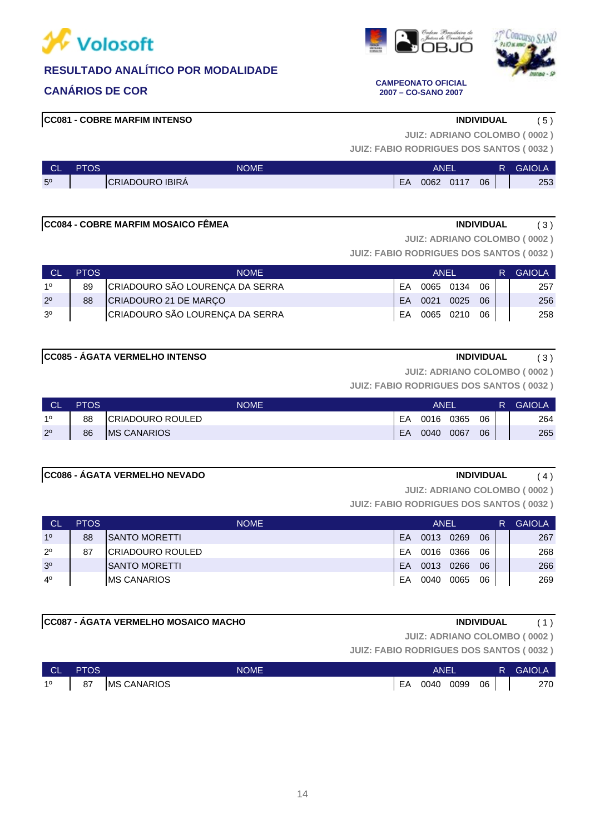





### **CANÁRIOS DE COR CAMPEONATO OFICIAL 2007 – CO-SANO 2007**

# **CC081 - COBRE MARFIM INTENSO INDIVIDUAL** ( 5 )

**JUIZ: ADRIANO COLOMBO ( 0002 )**

**JUIZ: FABIO RODRIGUES DOS SANTOS ( 0032 )**

| $\sim$<br>◡∟   | PTOS | <b>NOME</b>            | <b>ANE</b> |      |      |    | <b>GAIOLA</b> |
|----------------|------|------------------------|------------|------|------|----|---------------|
| 5 <sup>o</sup> |      | <b>CRIADOURO IBIRA</b> | EA         | 0062 | 0117 | 06 | 253           |

### **CC084 - COBRE MARFIM MOSAICO FÊMEA INDIVIDUAL** (3)

**JUIZ: ADRIANO COLOMBO ( 0002 )**

**JUIZ: FABIO RODRIGUES DOS SANTOS ( 0032 )**

| Сľ             | <b>PTOS</b> | <b>NOME</b>                     | ANEL |                 |  |    | R. | <b>GAIOLA</b> |
|----------------|-------------|---------------------------------|------|-----------------|--|----|----|---------------|
| 10             | 89          | CRIADOURO SÃO LOURENÇA DA SERRA | FA   | 0065 0134       |  | 06 |    | 257           |
| $2^{\circ}$    | 88          | CRIADOURO 21 DE MARÇO           | EA.  | 0021 0025 06    |  |    |    | 256           |
| 3 <sup>o</sup> |             | CRIADOURO SÃO LOURENÇA DA SERRA |      | EA 0065 0210 06 |  |    |    | 258           |

### **CC085 - ÁGATA VERMELHO INTENSO INDIVIDUAL** ( 3 )

**JUIZ: ADRIANO COLOMBO ( 0002 )**

**JUIZ: FABIO RODRIGUES DOS SANTOS ( 0032 )**

| <b>TCL</b>  | <b>PTOS</b> | <b>NOME</b>        | ANEI |      |      |    | R. | <b>GAIOLA</b> |
|-------------|-------------|--------------------|------|------|------|----|----|---------------|
| 10          | 88          | CRIADOURO ROULED   | EA   | 0016 | 0365 | 06 |    | 264           |
| $2^{\circ}$ | 86          | <b>MS CANARIOS</b> | EA   | 0040 | 0067 | 06 |    | 265           |

### **CC086 - ÁGATA VERMELHO NEVADO INDIVIDUAL** ( 4 )

**JUIZ: ADRIANO COLOMBO ( 0002 )**

**JUIZ: FABIO RODRIGUES DOS SANTOS ( 0032 )**

| <b>CL</b>      | <b>PTOS</b> | <b>NOME</b>              | <b>ANEL</b> |      |      |    | R | <b>GAIOLA</b> |
|----------------|-------------|--------------------------|-------------|------|------|----|---|---------------|
| 1 <sup>0</sup> | 88          | <b>ISANTO MORETTI</b>    | EA          | 0013 | 0269 | 06 |   | 267           |
| $2^{\circ}$    | 87          | <b>ICRIADOURO ROULED</b> | EA          | 0016 | 0366 | 06 |   | 268           |
| 3 <sup>o</sup> |             | <b>ISANTO MORETTI</b>    | EA          | 0013 | 0266 | 06 |   | 266           |
| $4^{\circ}$    |             | <b>IMS CANARIOS</b>      | EA          | 0040 | 0065 | 06 |   | 269           |

# **CC087 - ÁGATA VERMELHO MOSAICO MACHO INDIVIDUAL** ( 1 )

**JUIZ: ADRIANO COLOMBO ( 0002 )**

| CL PTOS | <b>NOME</b>                       | ANEL |                 |  |  | R GAIOLA |
|---------|-----------------------------------|------|-----------------|--|--|----------|
|         | 1 <sup>0</sup>   87   MS CANARIOS |      | EA 0040 0099 06 |  |  | 270      |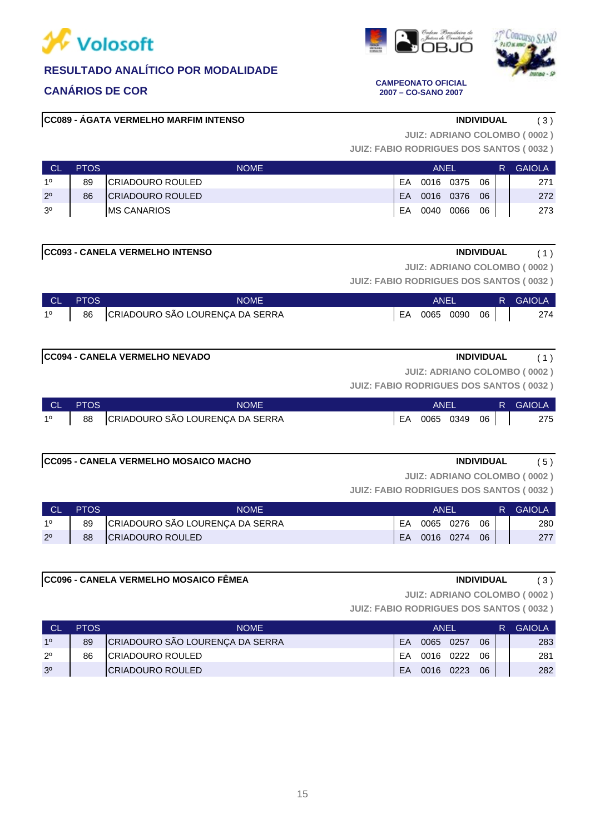

# **CANÁRIOS DE COR CAMPEONATO OFICIAL**

# **CC089 - ÁGATA VERMELHO MARFIM INTENSO INDIVIDUAL** ( 3 )

**JUIZ: ADRIANO COLOMBO ( 0002 )**

**JUIZ: FABIO RODRIGUES DOS SANTOS ( 0032 )**

| <b>C</b>       | <b>PTOS</b> | <b>NOME</b>             | ANEL |           |      |    |  | <b>GAIOLA</b> |
|----------------|-------------|-------------------------|------|-----------|------|----|--|---------------|
| 10             | 89          | CRIADOURO ROULED        | FΑ   | 0016 0375 |      | 06 |  | 271           |
| $2^{\circ}$    | 86          | <b>CRIADOURO ROULED</b> | EA   | 0016 0376 |      | 06 |  | 272           |
| 3 <sup>0</sup> |             | <b>IMS CANARIOS</b>     | EA   | 0040      | 0066 | 06 |  | 273           |

**CC093 - CANELA VERMELHO INTENSO INDIVIDUAL** ( 1 )

**JUIZ: ADRIANO COLOMBO ( 0002 )**

**JUIZ: FABIO RODRIGUES DOS SANTOS ( 0032 )**

|             | CL PTOS | <b>NOME</b>                        | ANEL            |  |  | <b>R</b> GAIOLA |
|-------------|---------|------------------------------------|-----------------|--|--|-----------------|
| $1^{\circ}$ |         | 86 CRIADOURO SÃO LOURENÇA DA SERRA | EA 0065 0090 06 |  |  | 274             |

### **CC094 - CANELA VERMELHO NEVADO INDIVIDUAL** ( 1 )

**JUIZ: ADRIANO COLOMBO ( 0002 )**

**JUIZ: FABIO RODRIGUES DOS SANTOS ( 0032 )**

|             | <b>CL PTOS</b> | <b>NOME</b>                        | <b>ANEL</b>            |  | R GAIOLA |
|-------------|----------------|------------------------------------|------------------------|--|----------|
| $1^{\circ}$ |                | 88 CRIADOURO SÃO LOURENÇA DA SERRA | $ EA$ 0065 0349 06 $ $ |  | 275      |

### **CC095 - CANELA VERMELHO MOSAICO MACHO INDIVIDUAL** ( 5 )

**JUIZ: ADRIANO COLOMBO ( 0002 )**

**JUIZ: FABIO RODRIGUES DOS SANTOS ( 0032 )**

|             | <b>PTOS</b> | NOME                            | ANEI |           |      |    | R. | <b>GAIOLA</b> |
|-------------|-------------|---------------------------------|------|-----------|------|----|----|---------------|
| 10          | 89          | CRIADOURO SÃO LOURENÇA DA SERRA | EA   | 0065      | 0276 | 06 |    | 280           |
| $2^{\circ}$ | 88          | CRIADOURO ROULED                | EA   | 0016 0274 |      | 06 |    | 277           |

# **CC096 - CANELA VERMELHO MOSAICO FÊMEA INDIVIDUAL** ( 3 )

**JUIZ: ADRIANO COLOMBO ( 0002 )**

**JUIZ: FABIO RODRIGUES DOS SANTOS ( 0032 )**

| <b>CL</b>      | <b>PTOS</b> | <b>NOME</b>                     |    | ANEL      |      |    | <b>GAIOLA</b> |
|----------------|-------------|---------------------------------|----|-----------|------|----|---------------|
| 10             | 89          | CRIADOURO SÃO LOURENÇA DA SERRA | FA | 0065      | 0257 | 06 | 283           |
| $2^{\circ}$    | 86          | ICRIADOURO ROULED               | FA | 0016      | 0222 | 06 | 281           |
| 3 <sup>o</sup> |             | <b>ICRIADOURO ROULED</b>        | EA | 0016 0223 |      | 06 | 282           |

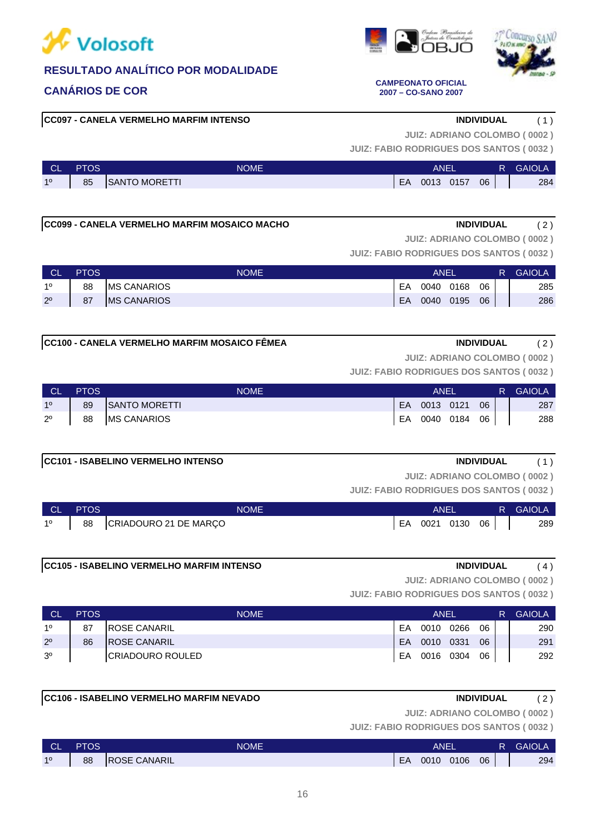

**CC097 - CANELA VERMELHO MARFIM INTENSO INDIVIDUAL** ( 1 )



**JUIZ: FABIO RODRIGUES DOS SANTOS ( 0032 )**

| <b>CL</b> | <b>PTOS</b> | <b>NOME</b>          |    | ANEI |      |    |  | <b>GAIOLA</b> |
|-----------|-------------|----------------------|----|------|------|----|--|---------------|
| 10        | 85          | <b>SANTO MORETTI</b> | EA | 0013 | 0157 | 06 |  | 284           |

**CC099 - CANELA VERMELHO MARFIM MOSAICO MACHO INDIVIDUAL** ( 2 )

**JUIZ: ADRIANO COLOMBO ( 0002 )**

**JUIZ: FABIO RODRIGUES DOS SANTOS ( 0032 )**

| <b>CL</b>   | <b>PTOS</b> | <b>NOME</b>        |    | <b>ANE</b> |      |    |  | <b>GAIOLA</b> |
|-------------|-------------|--------------------|----|------------|------|----|--|---------------|
| 10          | 88          | <b>MS CANARIOS</b> | EA | 0040       | 0168 | 06 |  | 285           |
| $2^{\circ}$ | 87          | <b>MS CANARIOS</b> | EA | 0040       | 0195 | 06 |  | 286           |

**JUIZ: ADRIANO COLOMBO ( 0002 )**

**JUIZ: FABIO RODRIGUES DOS SANTOS ( 0032 )**

| <b>CL</b>      | <b>PTOS</b> | <b>NOME</b>        | ANEL         |    | R. | <b>GAIOLA</b> |
|----------------|-------------|--------------------|--------------|----|----|---------------|
| 1 <sup>0</sup> | 89          | SANTO MORETTI      | EA 0013 0121 | 06 |    | 287           |
| $2^{\circ}$    | 88          | <b>MS CANARIOS</b> | EA 0040 0184 | 06 |    | 288           |

### **CC101 - ISABELINO VERMELHO INTENSO INDIVIDUAL** ( 1 )

**JUIZ: ADRIANO COLOMBO ( 0002 )**

**JUIZ: FABIO RODRIGUES DOS SANTOS ( 0032 )**

| <b>CL</b>      | <b>PTOS</b> | <b>NOME</b>           |    | ANFI |      |    |  | <b>GAIOLA</b> |
|----------------|-------------|-----------------------|----|------|------|----|--|---------------|
| 1 <sup>0</sup> | 88          | CRIADOURO 21 DE MARÇO | EA | 0021 | 0130 | 06 |  | 289           |

### **CC105 - ISABELINO VERMELHO MARFIM INTENSO INDIVIDUAL** ( 4 )

**JUIZ: ADRIANO COLOMBO ( 0002 )**

**JUIZ: FABIO RODRIGUES DOS SANTOS ( 0032 )**

| <b>CL</b>      | <b>PTOS</b> | <b>NOME</b>          |           | ANFI      |      |    | R | <b>GAIOLA</b> |
|----------------|-------------|----------------------|-----------|-----------|------|----|---|---------------|
| 10             | 87          | <b>IROSE CANARIL</b> | FA        | 0010      | 0266 | 06 |   | 290           |
| $2^{\circ}$    | 86          | <b>IROSE CANARIL</b> | <b>FA</b> | 0010 0331 |      | 06 |   | 291           |
| 3 <sup>o</sup> |             | CRIADOURO ROULED     | EA        | 0016 0304 |      | 06 |   | 292           |

### **CC106 - ISABELINO VERMELHO MARFIM NEVADO INDIVIDUAL** ( 2 )

**JUIZ: ADRIANO COLOMBO ( 0002 )**

**JUIZ: FABIO RODRIGUES DOS SANTOS ( 0032 )**

| <b>CL</b> | PTOS | <b>NOME</b>          |    | ANEI |      |    | R | <b>GAIOLA</b> |
|-----------|------|----------------------|----|------|------|----|---|---------------|
| 10        | 88   | <b>IROSE CANARIL</b> | EA | 0010 | 0106 | 06 |   | 294           |



### **CANÁRIOS DE COR CAMPEONATO OFICIAL 2007 – CO-SANO 2007**

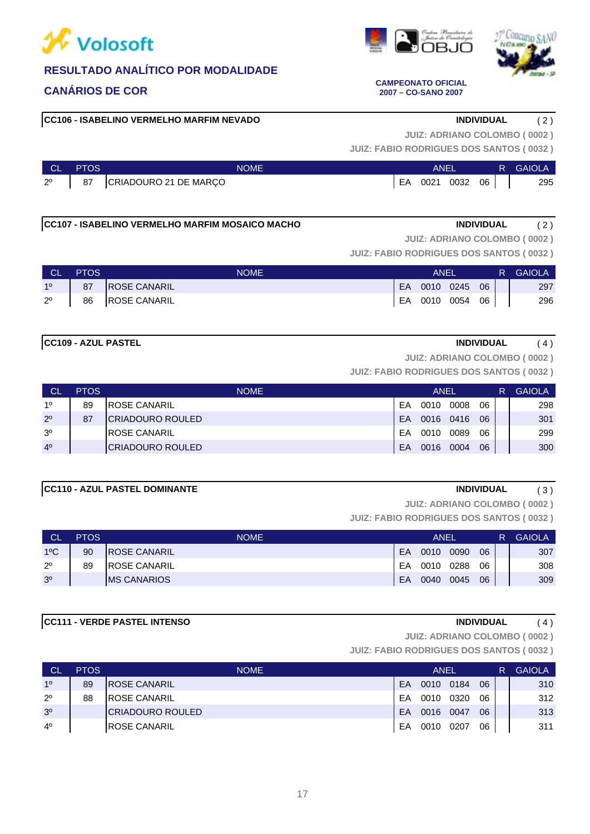

### **CC106 - ISABELINO VERMELHO MARFIM NEVADO INDIVIDUAL** ( 2 )

### **CC111 - VERDE PASTEL INTENSO INDIVIDUAL** ( 4 )

**JUIZ: ADRIANO COLOMBO ( 0002 )**

**JUIZ: FABIO RODRIGUES DOS SANTOS ( 0032 )**

| <b>CL</b> | <b>PTOS</b> | <b>NOME</b>              |    | ANEL |      |    | R | <b>GAIOLA</b> |
|-----------|-------------|--------------------------|----|------|------|----|---|---------------|
| 10        | 89          | <b>IROSE CANARIL</b>     | EA | 0010 | 0184 | 06 |   | 310           |
| 20        | 88          | <b>IROSE CANARIL</b>     | FA | 0010 | 0320 | 06 |   | 312           |
| 30        |             | <b>ICRIADOURO ROULED</b> | EA | 0016 | 0047 | 06 |   | 313           |
| 40        |             | <b>IROSE CANARIL</b>     | EΑ | 0010 | 0207 | 06 |   | 311           |

# **CC107 - ISABELINO VERMELHO MARFIM MOSAICO MACHO INDIVIDUAL** ( 2 )

**JUIZ: ADRIANO COLOMBO ( 0002 )**

**JUIZ: ADRIANO COLOMBO ( 0002 )**

**JUIZ: FABIO RODRIGUES DOS SANTOS ( 0032 )**

**JUIZ: FABIO RODRIGUES DOS SANTOS ( 0032 )**

| <b>NGL</b>     | <b>PTOS</b> | <b>NOME</b>         |     | ANEL |                 |    | R. | <b>GAIOLA</b> |
|----------------|-------------|---------------------|-----|------|-----------------|----|----|---------------|
| 1 <sup>°</sup> | 87          | <b>ROSE CANARIL</b> | EA. |      | 0010 0245       | 06 |    | 297           |
| $2^{\circ}$    |             | 86 ROSE CANARIL     |     |      | EA 0010 0054 06 |    |    | 296           |

# **CC109 - AZUL PASTEL INDIVIDUAL** ( 4 )

**JUIZ: ADRIANO COLOMBO ( 0002 )**

**JUIZ: FABIO RODRIGUES DOS SANTOS ( 0032 )**

| <b>CL</b>      | <b>PTOS</b> | <b>NOME</b>              |    | ANEL |      |    | <b>GAIOLA</b> |
|----------------|-------------|--------------------------|----|------|------|----|---------------|
| 10             | 89          | <b>IROSE CANARIL</b>     | EA | 0010 | 0008 | 06 | 298           |
| $2^{\circ}$    | 87          | <b>ICRIADOURO ROULED</b> | EA | 0016 | 0416 | 06 | 301           |
| 3 <sup>o</sup> |             | <b>IROSE CANARIL</b>     | FA | 0010 | 0089 | 06 | 299           |
| 4 <sup>0</sup> |             | <b>ICRIADOURO ROULED</b> | EA | 0016 | 0004 | 06 | 300           |

**JUIZ: FABIO RODRIGUES DOS SANTOS ( 0032 )**

| <b>CC110 - AZUL PASTEL DOMINANTE</b> | INDIVIDUAL<br>(3)                   |  |
|--------------------------------------|-------------------------------------|--|
|                                      | <b>JUIZ: ADRIANO COLOMBO (0002)</b> |  |
|                                      |                                     |  |

CL PTOS NOME ANEL R GAIOLA

| --             | .  | .                    |    | .    |      |    | . |     |
|----------------|----|----------------------|----|------|------|----|---|-----|
| $1^{\circ}$ C  | 90 | <b>IROSE CANARIL</b> | EA | 0010 | 0090 | 06 |   | 307 |
| $2^{\circ}$    | 89 | <b>IROSE CANARIL</b> | EA | 0010 | 0288 | 06 |   | 308 |
| 3 <sup>o</sup> |    | <b>IMS CANARIOS</b>  | EA | 0040 | 0045 | 06 |   | 309 |
|                |    |                      |    |      |      |    |   |     |







### **CANÁRIOS DE COR CAMPEONATO OFICIAL 2007 – CO-SANO 2007**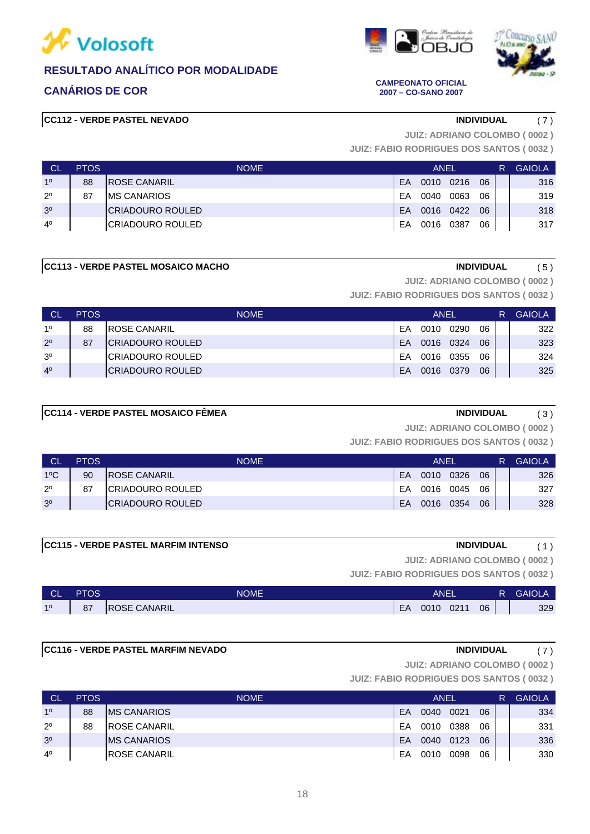







**CANÁRIOS DE COR CAMPEONATO OFICIAL 2007 – CO-SANO 2007**

**JUIZ: ADRIANO COLOMBO ( 0002 )**

**JUIZ: FABIO RODRIGUES DOS SANTOS ( 0032 )**

| . CL           | <b>PTOS</b> | <b>NOME</b>          |    | ANEL |      |    | R | <b>GAIOLA</b> |
|----------------|-------------|----------------------|----|------|------|----|---|---------------|
| 1 <sup>0</sup> | 88          | <b>IROSE CANARIL</b> | EA | 0010 | 0216 | 06 |   | 316           |
| $2^{\circ}$    | 87          | IMS CANARIOS         | FA | 0040 | 0063 | 06 |   | 319           |
| 3 <sup>o</sup> |             | ICRIADOURO ROULED    | EA | 0016 | 0422 | 06 |   | 318           |
| $4^{\circ}$    |             | ICRIADOURO ROULED    | EA | 0016 | 0387 | 06 |   | 317           |

### **CC113 - VERDE PASTEL MOSAICO MACHO INDIVIDUAL** (5)

**JUIZ: ADRIANO COLOMBO ( 0002 )**

**JUIZ: FABIO RODRIGUES DOS SANTOS ( 0032 )**

| <b>CL</b>      | <b>PTOS</b> | <b>NOME</b>          |     | ANEL |      |    | R | <b>GAIOLA</b> |
|----------------|-------------|----------------------|-----|------|------|----|---|---------------|
| 10             | 88          | <b>IROSE CANARIL</b> | FA  | 0010 | 0290 | 06 |   | 322           |
| $2^{\circ}$    | 87          | ICRIADOURO ROULED    | FA  | 0016 | 0324 | 06 |   | 323           |
| 3 <sup>o</sup> |             | ICRIADOURO ROULED    | FA. | 0016 | 0355 | 06 |   | 324           |
| 4 <sup>0</sup> |             | ICRIADOURO ROULED    | FA  | 0016 | 0379 | 06 |   | 325           |

# **CC114 - VERDE PASTEL MOSAICO FÊMEA INDIVIDUAL** (3)

**JUIZ: ADRIANO COLOMBO ( 0002 )**

**JUIZ: FABIO RODRIGUES DOS SANTOS ( 0032 )**

| <b>CL</b>      | <b>PTOS</b> | <b>NOME</b>          |    | ANEL |      |    | R | <b>GAIOLA</b> |
|----------------|-------------|----------------------|----|------|------|----|---|---------------|
| $1^{\circ}$ C  | 90          | <b>IROSE CANARIL</b> | FA | 0010 | 0326 | 06 |   | 326           |
| $2^{\circ}$    | -87         | ICRIADOURO ROULED    | FA | 0016 | 0045 | 06 |   | 327           |
| 3 <sup>o</sup> |             | ICRIADOURO ROULED    | EA | 0016 | 0354 | 06 |   | 328           |

# **CC115 - VERDE PASTEL MARFIM INTENSO INDIVIDUAL** ( 1 )

**JUIZ: ADRIANO COLOMBO ( 0002 )**

**JUIZ: FABIO RODRIGUES DOS SANTOS ( 0032 )**

| <b>CL</b> | <b>PTOS</b>           | <b>NOME</b>          |    | ANEI |      |    | <b>GAIOLA</b> |
|-----------|-----------------------|----------------------|----|------|------|----|---------------|
| 10        | $^{\circ}$<br>$\circ$ | <b>IROSE CANARIL</b> | EA | 0010 | 0211 | 06 | 329           |

### **CC116 - VERDE PASTEL MARFIM NEVADO INDIVIDUAL** ( 7 )

**JUIZ: ADRIANO COLOMBO ( 0002 )**

| ∣ CĽ           | <b>PTOS</b> | <b>NOME</b>          |    | <b>ANEL</b> |      |    | R | <b>GAIOLA</b> |
|----------------|-------------|----------------------|----|-------------|------|----|---|---------------|
| 1 <sup>0</sup> | 88          | <b>IMS CANARIOS</b>  | EA | 0040        | 0021 | 06 |   | 334           |
| $2^{\circ}$    | 88          | <b>IROSE CANARIL</b> | FΑ | 0010        | 0388 | 06 |   | 331           |
| 3 <sup>o</sup> |             | <b>IMS CANARIOS</b>  | EA | 0040        | 0123 | 06 |   | 336           |
| $4^{\circ}$    |             | <b>IROSE CANARIL</b> | EA | 0010        | 0098 | 06 |   | 330           |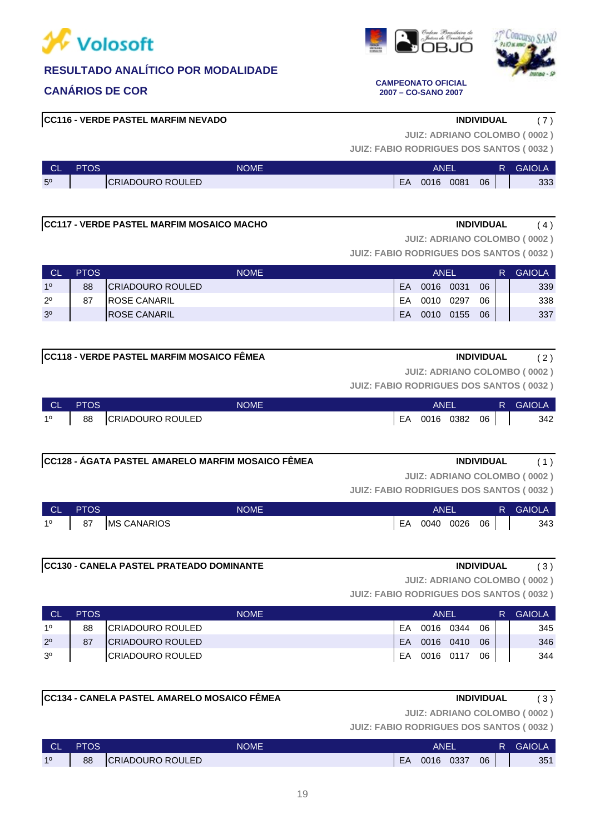







### **CANÁRIOS DE COR CAMPEONATO OFICIAL 2007 – CO-SANO 2007**

**JUIZ: ADRIANO COLOMBO ( 0002 )**

**JUIZ: FABIO RODRIGUES DOS SANTOS ( 0032 )**

| <b>CL</b>      | PTOS | <b>NOME</b>      |    | ANEI |      |    | <b>GAIOLA</b> |
|----------------|------|------------------|----|------|------|----|---------------|
| 5 <sup>o</sup> |      | CRIADOURO ROULED | EA | 0016 | 0081 | 06 | 333           |

### **CC117 - VERDE PASTEL MARFIM MOSAICO MACHO INDIVIDUAL** ( 4 )

**JUIZ: ADRIANO COLOMBO ( 0002 )**

**JUIZ: FABIO RODRIGUES DOS SANTOS ( 0032 )**

| <b>CL</b>      | <b>PTOS</b> | <b>NOME</b>              |           | ANEL      |      |    | R. | <b>GAIOLA</b> |
|----------------|-------------|--------------------------|-----------|-----------|------|----|----|---------------|
| 10             | 88          | <b>ICRIADOURO ROULED</b> | <b>FA</b> | 0016      | 0031 | 06 |    | 339           |
| $2^{\circ}$    | 87          | <b>IROSE CANARIL</b>     | EA        | 0010      | 0297 | 06 |    | 338           |
| 3 <sup>o</sup> |             | <b>IROSE CANARIL</b>     | EA        | 0010 0155 |      | 06 |    | 337           |

# **CC118 - VERDE PASTEL MARFIM MOSAICO FÊMEA INDIVIDUAL** ( 2 )

**JUIZ: ADRIANO COLOMBO ( 0002 )**

**JUIZ: FABIO RODRIGUES DOS SANTOS ( 0032 )**

| ∣ CL' | <b>PTOS</b> | <b>NOME</b>      |    | <b>ANEL</b> |      |    | R. | <b>GAIOLA</b> |
|-------|-------------|------------------|----|-------------|------|----|----|---------------|
| 10    | 88          | CRIADOURO ROULED | EA | 0016        | 0382 | 06 |    | 342           |

**CC128 - ÁGATA PASTEL AMARELO MARFIM MOSAICO FÊMEA INDIVIDUAL** ( 1 )

**JUIZ: ADRIANO COLOMBO ( 0002 )**

**JUIZ: FABIO RODRIGUES DOS SANTOS ( 0032 )**

| <b>CL</b> | <b>PTOS</b> | <b>NOME</b>        |    | <b>ANEL</b> |      |    |  | <b>GAIOLA</b> |
|-----------|-------------|--------------------|----|-------------|------|----|--|---------------|
| 10        | 87          | <b>MS CANARIOS</b> | EA | 0040        | 0026 | 06 |  | 343           |

### **CC130 - CANELA PASTEL PRATEADO DOMINANTE INDIVIDUAL** ( 3 )

**JUIZ: ADRIANO COLOMBO ( 0002 )**

**JUIZ: FABIO RODRIGUES DOS SANTOS ( 0032 )**

| <b>ICL</b>     | <b>PTOS</b> | <b>NOME</b>              |    | ANEL      |           |    | R | <b>GAIOLA</b> |
|----------------|-------------|--------------------------|----|-----------|-----------|----|---|---------------|
| 10             | 88          | CRIADOURO ROULED         | EA | 0016      | 0344      | 06 |   | 345           |
| $2^{\circ}$    | 87          | <b>ICRIADOURO ROULED</b> | EA |           | 0016 0410 | 06 |   | 346           |
| 3 <sup>o</sup> |             | <b>ICRIADOURO ROULED</b> | EA | 0016 0117 |           | 06 |   | 344           |

### **CC134 - CANELA PASTEL AMARELO MOSAICO FÊMEA INDIVIDUAL** ( 3 )

**JUIZ: ADRIANO COLOMBO ( 0002 )**

| <b>CL</b> | <b>PTOS</b> | NOME'                   |    | <b>ANEL</b> |      |    | R | <b>GAIOLA</b> |
|-----------|-------------|-------------------------|----|-------------|------|----|---|---------------|
| 10        | 88          | <b>CRIADOURO ROULED</b> | EA | 0016        | 0337 | 06 |   | 351           |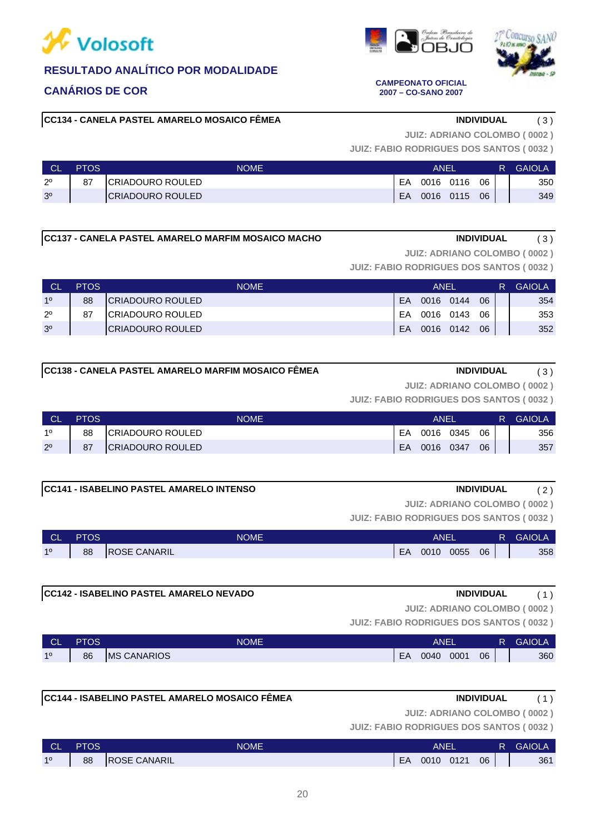

# **CANÁRIOS DE COR CAMPEONATO OFICIAL**

**CC134 - CANELA PASTEL AMARELO MOSAICO FÊMEA INDIVIDUAL** ( 3 )

**JUIZ: ADRIANO COLOMBO ( 0002 )**

**JUIZ: FABIO RODRIGUES DOS SANTOS ( 0032 )**

|                | <b>PTOS</b> | <b>NOME</b>       |    | ANEI      |    | R | <b>GAIOLA</b> |
|----------------|-------------|-------------------|----|-----------|----|---|---------------|
| $2^{\circ}$    | 87          | ICRIADOURO ROULED | EA | 0016 0116 | 06 |   | 350           |
| 3 <sup>o</sup> |             | ICRIADOURO ROULED | EA | 0016 0115 | 06 |   | 349           |

**CC137 - CANELA PASTEL AMARELO MARFIM MOSAICO MACHO INDIVIDUAL** ( 3 )

**JUIZ: ADRIANO COLOMBO ( 0002 )**

**JUIZ: FABIO RODRIGUES DOS SANTOS ( 0032 )**

| <b>CL</b>      | <b>PTOS</b> | <b>NOME</b>              |           | ANEL |           |    | R. | <b>GAIOLA</b> |
|----------------|-------------|--------------------------|-----------|------|-----------|----|----|---------------|
| 10             | 88          | <b>ICRIADOURO ROULED</b> | <b>FA</b> |      | 0016 0144 | 06 |    | 354           |
| $2^{\circ}$    | 87          | <b>ICRIADOURO ROULED</b> | <b>FA</b> |      | 0016 0143 | 06 |    | 353           |
| 3 <sup>o</sup> |             | <b>ICRIADOURO ROULED</b> | EA        |      | 0016 0142 | 06 |    | 352           |

| ICC138 - CANELA PASTEL AMARELO MARFIM MOSAICO FËMEA | <b>INDIVIDUAL</b> |
|-----------------------------------------------------|-------------------|
|-----------------------------------------------------|-------------------|

**JUIZ: ADRIANO COLOMBO ( 0002 )**

**JUIZ: FABIO RODRIGUES DOS SANTOS ( 0032 )**

| <b>CL</b>   | <b>PTOS</b> | NOME                    | ANEI |      |      |    | R | <b>GAIOLA</b> |
|-------------|-------------|-------------------------|------|------|------|----|---|---------------|
| 10          | 88          | <b>CRIADOURO ROULED</b> | EA   | 0016 | 0345 | 06 |   | 356           |
| $2^{\circ}$ | 87          | <b>CRIADOURO ROULED</b> | EA   | 0016 | 0347 | 06 |   | 357           |

### **CC141 - ISABELINO PASTEL AMARELO INTENSO INDIVIDUAL** ( 2 )

**JUIZ: ADRIANO COLOMBO ( 0002 )**

**JUIZ: FABIO RODRIGUES DOS SANTOS ( 0032 )**

| <b>CL</b> | PTOS | <b>NOME</b>         |    | ANEL |      |    | <b>GAIOLA</b> |
|-----------|------|---------------------|----|------|------|----|---------------|
| 10        | 88   | <b>ROSE CANARIL</b> | EA | 0010 | 0055 | 06 | 358           |

### **CC142 - ISABELINO PASTEL AMARELO NEVADO INDIVIDUAL** ( 1 )

**JUIZ: ADRIANO COLOMBO ( 0002 )**

**JUIZ: FABIO RODRIGUES DOS SANTOS ( 0032 )**

| <b>CL</b> | PTOS | NOME <sup>'</sup>   |    | ANEI |      |    | <b>GAIOLA</b> |
|-----------|------|---------------------|----|------|------|----|---------------|
| 10        | 86   | <b>IMS CANARIOS</b> | EA | 0040 | 0001 | 06 | 360           |

# **CC144 - ISABELINO PASTEL AMARELO MOSAICO FÊMEA INDIVIDUAL** ( 1 )

**JUIZ: FABIO RODRIGUES DOS SANTOS ( 0032 ) JUIZ: ADRIANO COLOMBO ( 0002 )**

| <b>CL</b> | <b>PTOS</b> | <b>NOME</b>         |           | ANEL |      |    | <b>GAIOLA</b> |
|-----------|-------------|---------------------|-----------|------|------|----|---------------|
| 10        | 88          | <b>ROSE CANARIL</b> | <b>FA</b> | 0010 | 0121 | 06 | 361           |



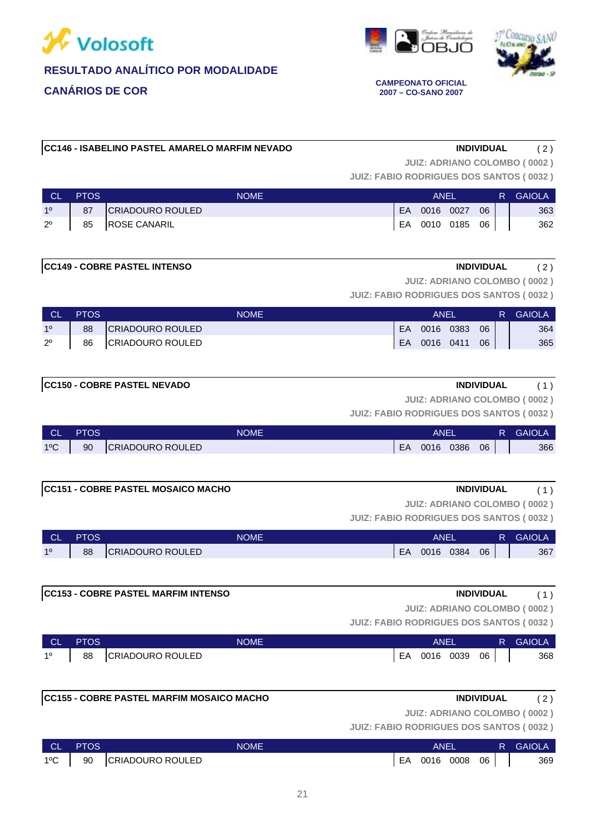





**2007 – CO-SANO 2007**

### **CC146 - ISABELINO PASTEL AMARELO MARFIM NEVADO INDIVIDUAL** ( 2 )

**JUIZ: ADRIANO COLOMBO ( 0002 )**

**JUIZ: FABIO RODRIGUES DOS SANTOS ( 0032 )**

| <b>CL</b>   | <b>PTOS</b> | <b>NOME</b>       |     | ANFI      |           |      | R. | <b>GAIOLA</b> |
|-------------|-------------|-------------------|-----|-----------|-----------|------|----|---------------|
| 10          | 87          | CRIADOURO ROULED  | EA. | 0016 0027 |           | 06   |    | 363           |
| $2^{\circ}$ |             | 85   ROSE CANARIL | EA  |           | 0010 0185 | 06 I |    | 362           |

### **CC149 - COBRE PASTEL INTENSO INDIVIDUAL** ( 2 )

**JUIZ: ADRIANO COLOMBO ( 0002 )**

**JUIZ: FABIO RODRIGUES DOS SANTOS ( 0032 )**

| <b>CL</b>   | <b>PTOS</b> | NOME             |           | ANEI |      |    | <b>GAIOLA</b> |
|-------------|-------------|------------------|-----------|------|------|----|---------------|
| 10          | 88          | CRIADOURO ROULED | <b>EA</b> | 0016 | 0383 | 06 | 364           |
| $2^{\circ}$ | 86          | CRIADOURO ROULED | EA        | 0016 | 0411 | 06 | 365           |

# **CC150 - COBRE PASTEL NEVADO INDIVIDUAL** ( 1 )

**JUIZ: ADRIANO COLOMBO ( 0002 )**

**JUIZ: FABIO RODRIGUES DOS SANTOS ( 0032 )**

| <b>CL</b>     | PTOS | <b>NOME</b>             |    | <b>ANE</b> |      |    | <b>GAIOLA</b> |
|---------------|------|-------------------------|----|------------|------|----|---------------|
| $1^{\circ}$ C | 90   | <b>CRIADOURO ROULED</b> | EA | 0016       | 0386 | 06 | 366           |

### **CC151 - COBRE PASTEL MOSAICO MACHO INDIVIDUAL** ( 1 )

**JUIZ: ADRIANO COLOMBO ( 0002 )**

**JUIZ: FABIO RODRIGUES DOS SANTOS ( 0032 )**

| СL | <b>PTOS</b> | <b>NOME</b>             | ANEL |      |      |    | <b>GAIOLA</b> |
|----|-------------|-------------------------|------|------|------|----|---------------|
| 10 | 88          | <b>CRIADOURO ROULED</b> | EA   | 0016 | 0384 | 06 | 367           |

### **CC153 - COBRE PASTEL MARFIM INTENSO INDIVIDUAL** ( 1 )

**JUIZ: ADRIANO COLOMBO ( 0002 )**

**JUIZ: FABIO RODRIGUES DOS SANTOS ( 0032 )**

| <b>CL</b> | <b>PTOS</b> | NOME             |    | <b>ANEL</b> |      |    | R. | <b>GAIOLA</b> |
|-----------|-------------|------------------|----|-------------|------|----|----|---------------|
| 10        | 88          | CRIADOURO ROULED | EA | 0016        | 0039 | 06 |    | 368           |

|  | 1º   88 CRIADOURO ROULED | EA 0016 0039 06 |  |  | 368 |
|--|--------------------------|-----------------|--|--|-----|
|  |                          |                 |  |  |     |

# **CC155 - COBRE PASTEL MARFIM MOSAICO MACHO INDIVIDUAL** ( 2 )

**JUIZ: ADRIANO COLOMBO ( 0002 )**

| ∣ CL'         | <b>PTOS</b> | <b>NOME</b>         | ANEI |              |  |  | R GAIOLA |
|---------------|-------------|---------------------|------|--------------|--|--|----------|
| $1^{\circ}$ C |             | 90 CRIADOURO ROULED | EA   | 0016 0008 06 |  |  | 369      |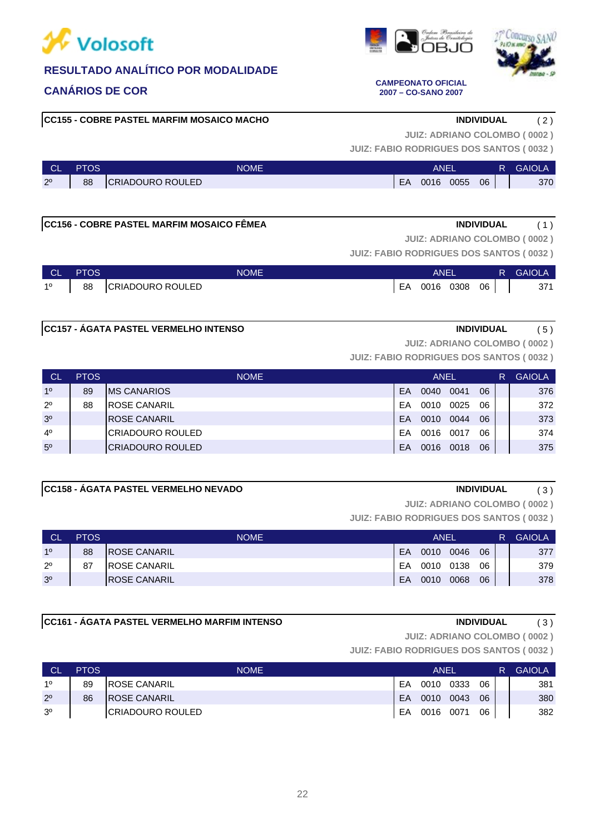

# **CANÁRIOS DE COR CAMPEONATO OFICIAL**

**CC155 - COBRE PASTEL MARFIM MOSAICO MACHO INDIVIDUAL** ( 2 )

**JUIZ: ADRIANO COLOMBO ( 0002 )**

**JUIZ: FABIO RODRIGUES DOS SANTOS ( 0032 )**

| <b>CL</b>   | PTOS | NOME'                   | ANEI |      |      |    | R | <b>GAIOLA</b> |
|-------------|------|-------------------------|------|------|------|----|---|---------------|
| $2^{\circ}$ | 88   | <b>CRIADOURO ROULED</b> | EA   | 0016 | 0055 | 06 |   | 370           |

# **CC156 - COBRE PASTEL MARFIM MOSAICO FÊMEA INDIVIDUAL** ( 1 )

**JUIZ: ADRIANO COLOMBO ( 0002 )**

**JUIZ: FABIO RODRIGUES DOS SANTOS ( 0032 )**

| CL PTOS | <b>NOME</b>              | ANEI |                 |  |  | <b>R</b> GAIOLA |
|---------|--------------------------|------|-----------------|--|--|-----------------|
|         | 1º   88 CRIADOURO ROULED |      | EA 0016 0308 06 |  |  | 371             |

# **CC157 - ÁGATA PASTEL VERMELHO INTENSO INDIVIDUAL** ( 5 )

**JUIZ: ADRIANO COLOMBO ( 0002 )**

**JUIZ: FABIO RODRIGUES DOS SANTOS ( 0032 )**

| <b>CL</b>      | <b>PTOS</b> | <b>NOME</b>             | <b>ANEL</b> |      |      |    |  | <b>GAIOLA</b> |
|----------------|-------------|-------------------------|-------------|------|------|----|--|---------------|
| 1 <sup>0</sup> | 89          | IMS CANARIOS            | EA          | 0040 | 0041 | 06 |  | 376           |
| $2^{\circ}$    | 88          | IROSE CANARIL           | FΑ          | 0010 | 0025 | 06 |  | 372           |
| 3 <sup>o</sup> |             | <b>ROSE CANARIL</b>     | EA          | 0010 | 0044 | 06 |  | 373           |
| $4^{\circ}$    |             | ICRIADOURO ROULED       | EA          | 0016 | 0017 | 06 |  | 374           |
| 5 <sup>0</sup> |             | <b>CRIADOURO ROULED</b> | EA          | 0016 | 0018 | 06 |  | 375           |

## **CC158 - ÁGATA PASTEL VERMELHO NEVADO INDIVIDUAL** ( 3 )

**JUIZ: ADRIANO COLOMBO ( 0002 )**

**JUIZ: FABIO RODRIGUES DOS SANTOS ( 0032 )**

| <b>CL</b>      | <b>PTOS</b> | <b>NOME</b>          | ANEL |      |      |    |  | <b>GAIOLA</b> |
|----------------|-------------|----------------------|------|------|------|----|--|---------------|
| 10             | 88          | <b>IROSE CANARIL</b> | FA   | 0010 | 0046 | 06 |  | 377           |
| $2^{\circ}$    | 87          | <b>ROSE CANARIL</b>  | EA   | 0010 | 0138 | 06 |  | 379           |
| 3 <sup>o</sup> |             | <b>IROSE CANARIL</b> | EA   | 0010 | 0068 | 06 |  | 378           |

### **CC161 - ÁGATA PASTEL VERMELHO MARFIM INTENSO INDIVIDUAL** ( 3 )

**JUIZ: ADRIANO COLOMBO ( 0002 )**

**JUIZ: FABIO RODRIGUES DOS SANTOS ( 0032 )**

| <b>CL</b>      | <b>PTOS</b> | <b>NOME</b>          | ANEI      |      |      |    |  | <b>GAIOLA</b> |
|----------------|-------------|----------------------|-----------|------|------|----|--|---------------|
| 10             | 89          | <b>IROSE CANARIL</b> | FΑ        | 0010 | 0333 | 06 |  | 381           |
| $2^{\circ}$    | 86          | <b>IROSE CANARIL</b> | <b>FA</b> | 0010 | 0043 | 06 |  | 380           |
| 3 <sup>o</sup> |             | ICRIADOURO ROULED    | EA        | 0016 | 0071 | 06 |  | 382           |





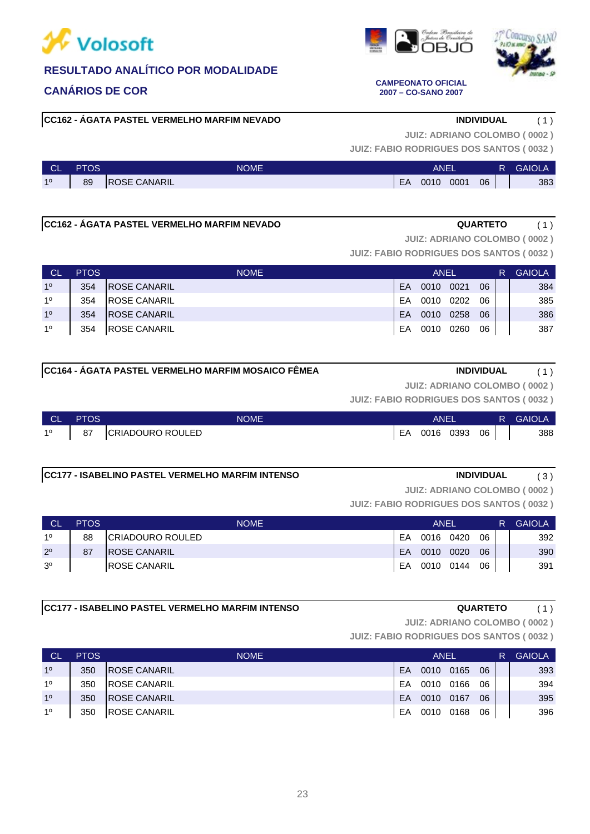

**CC162 - ÁGATA PASTEL VERMELHO MARFIM NEVADO INDIVIDUAL** ( 1 )



**JUIZ: ADRIANO COLOMBO ( 0002 )**

**JUIZ: FABIO RODRIGUES DOS SANTOS ( 0032 )**

| <b>CL</b> | PTOS | <b>NOME</b>         | ANEI |      |      |    | R | <b>GAIOLA</b> |
|-----------|------|---------------------|------|------|------|----|---|---------------|
| 10        | 89   | <b>ROSE CANARIL</b> | EA   | 0010 | 0001 | 06 |   | 383           |

# **CC162 - ÁGATA PASTEL VERMELHO MARFIM NEVADO QUARTETO** ( 1 )

**JUIZ: ADRIANO COLOMBO ( 0002 )**

**JUIZ: FABIO RODRIGUES DOS SANTOS ( 0032 )**

| ⊟ CL'          | <b>PTOS</b> | <b>NOME</b>          | ANEL |      |      |    |  | <b>GAIOLA</b> |
|----------------|-------------|----------------------|------|------|------|----|--|---------------|
| 1 <sup>0</sup> | 354         | <b>IROSE CANARIL</b> | EA   | 0010 | 0021 | 06 |  | 384           |
| 1 <sup>0</sup> | 354         | <b>IROSE CANARIL</b> | EA   | 0010 | 0202 | 06 |  | 385           |
| 1 <sup>0</sup> | 354         | <b>IROSE CANARIL</b> | EA   | 0010 | 0258 | 06 |  | 386           |
| 10             | 354         | <b>ROSE CANARIL</b>  | EA   | 0010 | 0260 | 06 |  | 387           |

# **CC164 - ÁGATA PASTEL VERMELHO MARFIM MOSAICO FÊMEA INDIVIDUAL** ( 1 )

**JUIZ: ADRIANO COLOMBO ( 0002 )**

**JUIZ: FABIO RODRIGUES DOS SANTOS ( 0032 )**

| ∣ CL' | <b>PTOS</b> | <b>NOME</b>      | ANEI |      |      |    | R. | <b>GAIOLA</b> |
|-------|-------------|------------------|------|------|------|----|----|---------------|
| 10    | 87          | CRIADOURO ROULED | EA   | 0016 | 0393 | 06 |    | 388           |

# **CC177 - ISABELINO PASTEL VERMELHO MARFIM INTENSO INDIVIDUAL** ( 3 )

**JUIZ: ADRIANO COLOMBO ( 0002 )**

**JUIZ: FABIO RODRIGUES DOS SANTOS ( 0032 )**

| <b>CL</b>      | <b>PTOS</b> | <b>NOME</b>              | <b>ANEL</b> |      |           |    | R | <b>GAIOLA</b> |
|----------------|-------------|--------------------------|-------------|------|-----------|----|---|---------------|
| 10             | 88          | <b>ICRIADOURO ROULED</b> | EA          | 0016 | 0420      | 06 |   | 392           |
| $2^{\circ}$    | 87          | <b>IROSE CANARIL</b>     | EA          | 0010 | 0020      | 06 |   | 390           |
| 3 <sup>o</sup> |             | IROSE CANARIL            | EA          |      | 0010 0144 | 06 |   | 391           |

### **CC177 - ISABELINO PASTEL VERMELHO MARFIM INTENSO QUARTETO** ( 1 )

**JUIZ: ADRIANO COLOMBO ( 0002 )**

**JUIZ: FABIO RODRIGUES DOS SANTOS ( 0032 )**

| <b>CL</b>      | <b>PTOS</b> | <b>NOME</b>          |    | ANEL |      |    | R | <b>GAIOLA</b> |
|----------------|-------------|----------------------|----|------|------|----|---|---------------|
| 1 <sup>0</sup> | 350         | <b>IROSE CANARIL</b> | EA | 0010 | 0165 | 06 |   | 393           |
| 10             | 350         | <b>IROSE CANARIL</b> | FA | 0010 | 0166 | 06 |   | 394           |
| 1 <sup>0</sup> | 350         | <b>IROSE CANARIL</b> | EA | 0010 | 0167 | 06 |   | 395           |
| 10             | 350         | <b>IROSE CANARIL</b> | EA | 0010 | 0168 | 06 |   | 396           |



**CANÁRIOS DE COR CAMPEONATO OFICIAL 2007 – CO-SANO 2007**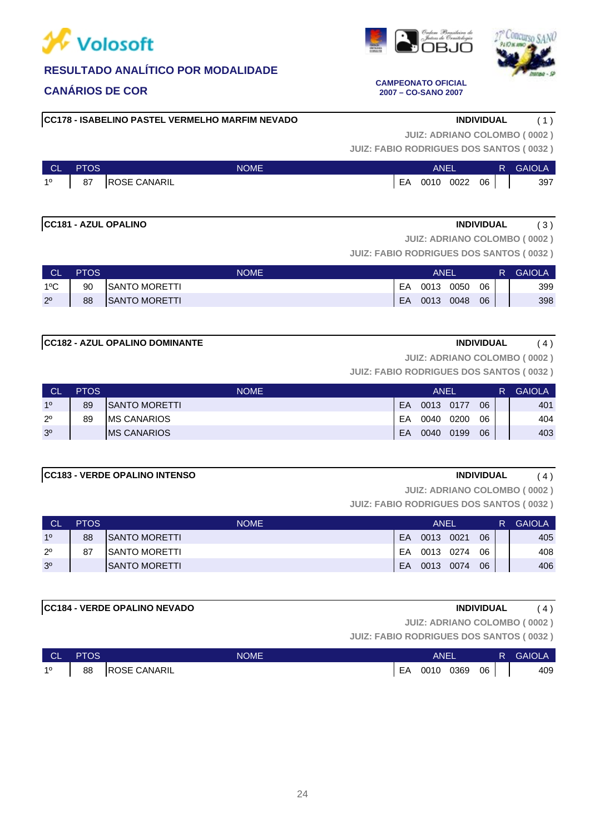

# **CANÁRIOS DE COR CAMPEONATO OFICIAL**

**CC178 - ISABELINO PASTEL VERMELHO MARFIM NEVADO INDIVIDUAL** ( 1 )

**JUIZ: ADRIANO COLOMBO ( 0002 )**

**JUIZ: FABIO RODRIGUES DOS SANTOS ( 0032 )**

| <b>NOLL</b>      | <b>PTOS</b> | <b>NOME</b>         | ANEI |           |  |      | R. | <b>GAIOLA</b> |
|------------------|-------------|---------------------|------|-----------|--|------|----|---------------|
| $1^{\circ}$   87 |             | <b>ROSE CANARIL</b> | EA   | 0010 0022 |  | 06 I |    | 397           |

# **CC181 - AZUL OPALINO INDIVIDUAL** ( 3 )

**JUIZ: ADRIANO COLOMBO ( 0002 )**

**JUIZ: FABIO RODRIGUES DOS SANTOS ( 0032 )**

| <b>CL</b>     | <b>PTOS</b> | <b>NOME</b>          | ANEL |      |      |    | R. | <b>GAIOLA</b> |
|---------------|-------------|----------------------|------|------|------|----|----|---------------|
| $1^{\circ}$ C | 90          | <b>SANTO MORETTI</b> | EA   | 0013 | 0050 | 06 |    | 399           |
| $2^{\circ}$   | 88          | <b>SANTO MORETTI</b> | EA   | 0013 | 0048 | 06 |    | 398           |

### **CC182 - AZUL OPALINO DOMINANTE INDIVIDUAL** ( 4 )

**JUIZ: ADRIANO COLOMBO ( 0002 )**

**JUIZ: FABIO RODRIGUES DOS SANTOS ( 0032 )**

| <b>CL</b>      | <b>PTOS</b> | <b>NOME</b>           | ANEL |           |      |    |  | <b>GAIOLA</b> |
|----------------|-------------|-----------------------|------|-----------|------|----|--|---------------|
| 10             | 89          | <b>ISANTO MORETTI</b> | EA   | 0013 0177 |      | 06 |  | 401           |
| $2^{\circ}$    | 89          | <b>IMS CANARIOS</b>   | EA   | 0040      | 0200 | 06 |  | 404           |
| 3 <sup>o</sup> |             | <b>IMS CANARIOS</b>   | EA   | 0040      | 0199 | 06 |  | 403           |

### **CC183 - VERDE OPALINO INTENSO INDIVIDUAL** ( 4 )

**JUIZ: ADRIANO COLOMBO ( 0002 )**

**JUIZ: FABIO RODRIGUES DOS SANTOS ( 0032 )**

| <b>ICL</b>     | <b>PTOS</b> | <b>NOME</b>           | ANEL |      |      |    |  | <b>GAIOLA</b> |
|----------------|-------------|-----------------------|------|------|------|----|--|---------------|
| 10             | 88          | <b>ISANTO MORETTI</b> | EA   | 0013 | 0021 | 06 |  | 405           |
| $2^{\circ}$    | 87          | ISANTO MORETTI        | EA   | 0013 | 0274 | 06 |  | 408           |
| 3 <sup>o</sup> |             | ISANTO MORETTI        | EA   | 0013 | 0074 | 06 |  | 406           |

### **CC184 - VERDE OPALINO NEVADO INDIVIDUAL** ( 4 )

**JUIZ: ADRIANO COLOMBO ( 0002 )**

**JUIZ: FABIO RODRIGUES DOS SANTOS ( 0032 )**

| N CL        | <b>PTOS</b> | <b>NOME</b>         | ANEL |  |           |    | R | <b>GAIOLA</b> |
|-------------|-------------|---------------------|------|--|-----------|----|---|---------------|
| $1^{\circ}$ | 88          | <b>ROSE CANARIL</b> | EA   |  | 0010 0369 | 06 |   | 409           |





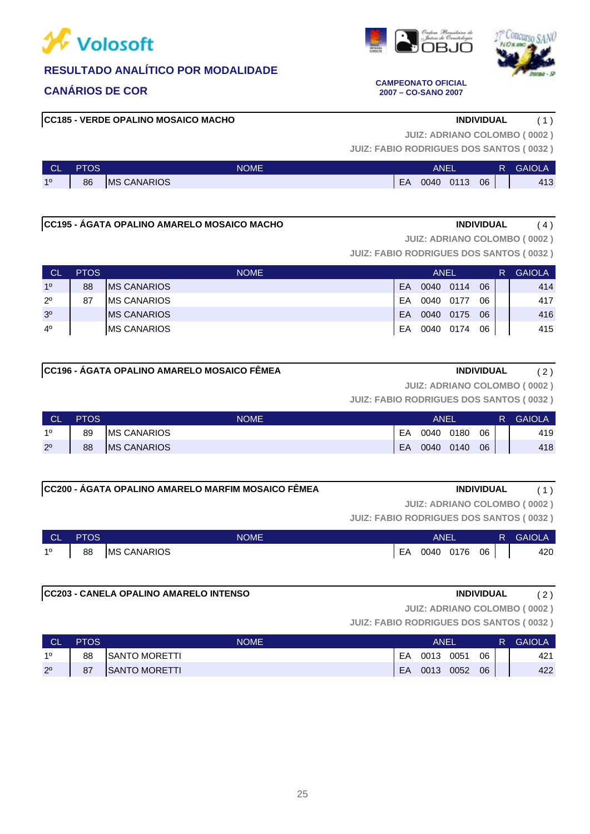





### **CANÁRIOS DE COR CAMPEONATO OFICIAL 2007 – CO-SANO 2007**

# **CC185 - VERDE OPALINO MOSAICO MACHO INDIVIDUAL** ( 1 )

**JUIZ: ADRIANO COLOMBO ( 0002 )**

**JUIZ: FABIO RODRIGUES DOS SANTOS ( 0032 )**

| <b>CL</b> | PTOS | <b>NOME</b>         |    | <b>ANEL</b> |      | <b>GAIOLA</b> |     |
|-----------|------|---------------------|----|-------------|------|---------------|-----|
| 10        | 86   | <b>IMS CANARIOS</b> | EA | 0040        | 0113 | 06            | 413 |

# **CC195 - ÁGATA OPALINO AMARELO MOSAICO MACHO INDIVIDUAL** ( 4 )

**JUIZ: ADRIANO COLOMBO ( 0002 )**

**JUIZ: FABIO RODRIGUES DOS SANTOS ( 0032 )**

| <b>CL</b>      | <b>PTOS</b> | <b>NOME</b>         |    | <b>ANEL</b> |      |    | R | <b>GAIOLA</b> |
|----------------|-------------|---------------------|----|-------------|------|----|---|---------------|
| 10             | 88          | <b>IMS CANARIOS</b> | EA | 0040        | 0114 | 06 |   | 414           |
| $2^{\circ}$    | 87          | <b>IMS CANARIOS</b> | EA | 0040        | 0177 | 06 |   | 417           |
| 3 <sup>0</sup> |             | <b>IMS CANARIOS</b> | EA | 0040        | 0175 | 06 |   | 416           |
| $4^{\circ}$    |             | <b>IMS CANARIOS</b> | EA | 0040        | 0174 | 06 |   | 415           |

# **CC196 - ÁGATA OPALINO AMARELO MOSAICO FÊMEA INDIVIDUAL** ( 2 )

**JUIZ: ADRIANO COLOMBO ( 0002 )**

**JUIZ: FABIO RODRIGUES DOS SANTOS ( 0032 )**

| <b>CL</b>      | <b>PTOS</b> | NOME                | <b>ANEL</b> |      |      |    | <b>GAIOLA</b> |
|----------------|-------------|---------------------|-------------|------|------|----|---------------|
| 10             | 89          | <b>IMS CANARIOS</b> | EA          | 0040 | 0180 | 06 | 419           |
| 2 <sup>0</sup> | 88          | <b>IMS CANARIOS</b> | EA          | 0040 | 0140 | 06 | 418           |

## **CC200 - ÁGATA OPALINO AMARELO MARFIM MOSAICO FÊMEA INDIVIDUAL** ( 1 )

**JUIZ: ADRIANO COLOMBO ( 0002 )**

**JUIZ: FABIO RODRIGUES DOS SANTOS ( 0032 )**

| N CL | <b>PTOS</b> | <b>NOME</b>        | ANEL |      |      |    | <b>GAIOLA</b> |
|------|-------------|--------------------|------|------|------|----|---------------|
| 10   | 88          | <b>MS CANARIOS</b> | EA   | 0040 | 0176 | 06 | 420           |

# **CC203 - CANELA OPALINO AMARELO INTENSO INDIVIDUAL** ( 2 )

**JUIZ: ADRIANO COLOMBO ( 0002 )**

| N CL        | <b>PTOS</b> | NOME           | ANEI |      |      |    | R | <b>GAIOLA</b> |
|-------------|-------------|----------------|------|------|------|----|---|---------------|
| 10          | 88          | ISANTO MORETTI | EA   | 0013 | 0051 | 06 |   | 421           |
| $2^{\circ}$ | 87          | ISANTO MORETTI | EA   | 0013 | 0052 | 06 |   | 422           |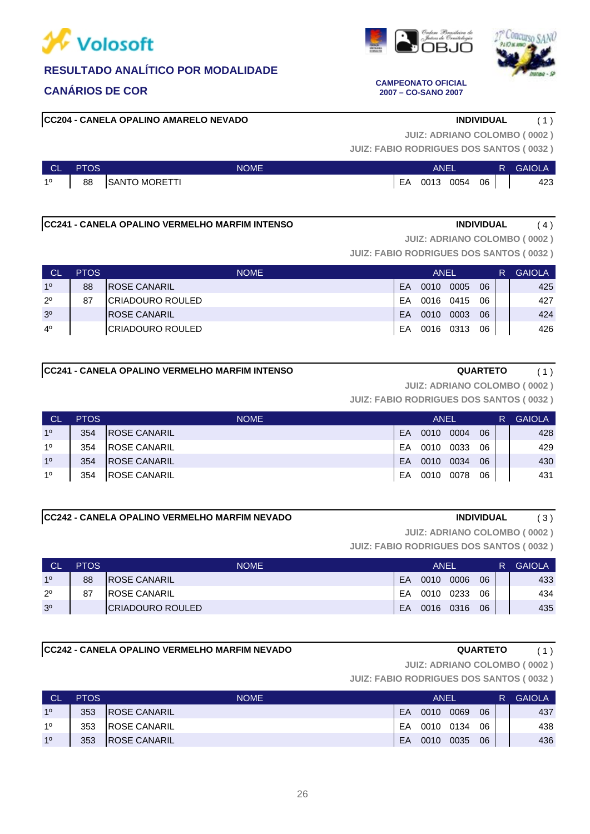

### **CC204 - CANELA OPALINO AMARELO NEVADO INDIVIDUAL** ( 1 )

**JUIZ: ADRIANO COLOMBO ( 0002 )**

**JUIZ: FABIO RODRIGUES DOS SANTOS ( 0032 )**

| <b>CL</b>   | <b>PTOS</b>                    | <b>NOME</b>   |    | <b>ANEI</b> |      |                 | R GAIOLA |
|-------------|--------------------------------|---------------|----|-------------|------|-----------------|----------|
| $1^{\circ}$ | $\begin{array}{c} \end{array}$ | SANTO MORETTI | EA | 0013        | 0054 | 06 <sub>1</sub> | 423      |

### **CC241 - CANELA OPALINO VERMELHO MARFIM INTENSO INDIVIDUAL** ( 4 )

**JUIZ: ADRIANO COLOMBO ( 0002 )**

**JUIZ: FABIO RODRIGUES DOS SANTOS ( 0032 )**

| ∣ CL'          | <b>PTOS</b> | <b>NOME</b>              |    | ANEL<br>0005<br>0010 |      |    |  | <b>GAIOLA</b> |
|----------------|-------------|--------------------------|----|----------------------|------|----|--|---------------|
| 10             | 88          | <b>IROSE CANARIL</b>     | EA |                      |      | 06 |  | 425           |
| $2^{\circ}$    | 87          | <b>ICRIADOURO ROULED</b> | FA | 0016 0415            |      | 06 |  | 427           |
| 3 <sup>o</sup> |             | <b>IROSE CANARIL</b>     | EA | 0010                 | 0003 | 06 |  | 424           |
| $4^{\circ}$    |             | <b>ICRIADOURO ROULED</b> | EA | 0016 0313            |      | 06 |  | 426           |

### **CC241 - CANELA OPALINO VERMELHO MARFIM INTENSO QUARTETO** ( 1 )

**JUIZ: ADRIANO COLOMBO ( 0002 )**

**JUIZ: FABIO RODRIGUES DOS SANTOS ( 0032 )**

| <b>CL</b> | <b>PTOS</b> | <b>NOME</b>          |    | ANEL |      |    | R | <b>GAIOLA</b> |
|-----------|-------------|----------------------|----|------|------|----|---|---------------|
| 10        | 354         | <b>IROSE CANARIL</b> | EA | 0010 | 0004 | 06 |   | 428           |
| 10        | 354         | <b>IROSE CANARIL</b> | FA | 0010 | 0033 | 06 |   | 429           |
| 10        | 354         | IROSE CANARIL        | EA | 0010 | 0034 | 06 |   | 430           |
| 10        | 354         | IROSE CANARIL        | EA | 0010 | 0078 | 06 |   | 431           |

### **CC242 - CANELA OPALINO VERMELHO MARFIM NEVADO INDIVIDUAL** ( 3 )

**JUIZ: ADRIANO COLOMBO ( 0002 )**

**JUIZ: FABIO RODRIGUES DOS SANTOS ( 0032 )**

| <b>CL</b>      | <b>PTOS</b> | <b>NOME</b>          | ANEL |      |      |    |  | <b>GAIOLA</b> |
|----------------|-------------|----------------------|------|------|------|----|--|---------------|
| 10             | 88          | <b>IROSE CANARIL</b> | EA   | 0010 | 0006 | 06 |  | 433           |
| $2^{\circ}$    | 87          | IROSE CANARIL        | EA   | 0010 | 0233 | 06 |  | 434           |
| 3 <sup>o</sup> |             | ICRIADOURO ROULED    | EA   | 0016 | 0316 | 06 |  | 435           |

# **CC242 - CANELA OPALINO VERMELHO MARFIM NEVADO QUARTETO** ( 1 )

**JUIZ: ADRIANO COLOMBO ( 0002 )**

**JUIZ: FABIO RODRIGUES DOS SANTOS ( 0032 )**

| C  | <b>PTOS</b> | <b>NOME</b>          |    | ANEI |      |    | R | <b>GAIOLA</b> |
|----|-------------|----------------------|----|------|------|----|---|---------------|
| 10 | 353         | <b>IROSE CANARIL</b> | FA | 0010 | 0069 | 06 |   | 437           |
| 10 | 353         | <b>IROSE CANARIL</b> | FA | 0010 | 0134 | 06 |   | 438           |
| 10 | 353         | <b>ROSE CANARIL</b>  | EA | 0010 | 0035 | 06 |   | 436           |





### **CANÁRIOS DE COR CAMPEONATO OFICIAL 2007 – CO-SANO 2007**

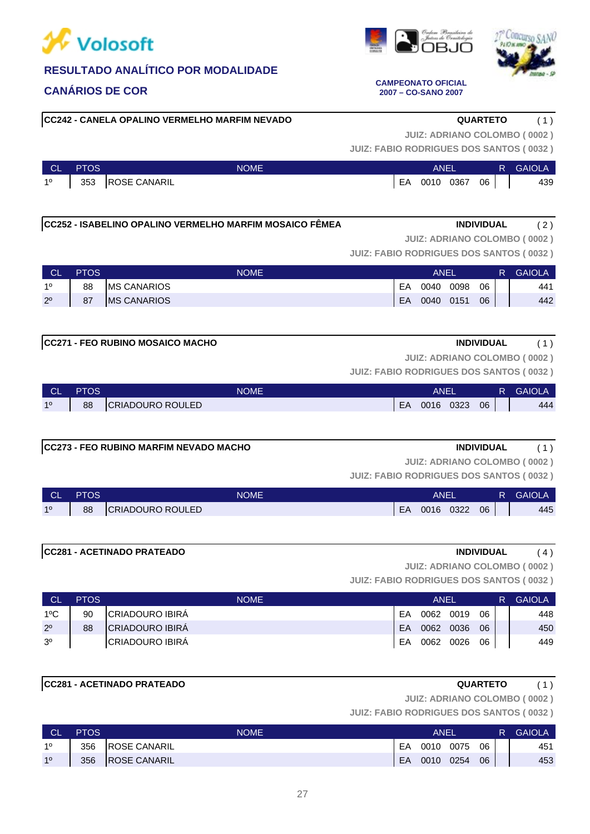

# **CANÁRIOS DE COR CAMPEONATO OFICIAL**

**CC242 - CANELA OPALINO VERMELHO MARFIM NEVADO QUARTETO** ( 1 )

**JUIZ: ADRIANO COLOMBO ( 0002 )**

**JUIZ: FABIO RODRIGUES DOS SANTOS ( 0032 )**

| CL          | <b>PTOS</b> | NOME             |    | ANEL      |    | <b>R</b> GAIOLA |
|-------------|-------------|------------------|----|-----------|----|-----------------|
| $1^{\circ}$ |             | 353 ROSE CANARIL | EA | 0010 0367 | 06 | 439             |

**CC252 - ISABELINO OPALINO VERMELHO MARFIM MOSAICO FÊMEA INDIVIDUAL** ( 2 )

**JUIZ: ADRIANO COLOMBO ( 0002 )**

**JUIZ: FABIO RODRIGUES DOS SANTOS ( 0032 )**

| <b>CL</b>   | <b>PTOS</b> | <b>NOME</b>         |    | ANEI |      |    | R. | <b>GAIOLA</b> |
|-------------|-------------|---------------------|----|------|------|----|----|---------------|
| 10          | 88          | <b>IMS CANARIOS</b> | EA | 0040 | 0098 | 06 |    | 441           |
| $2^{\circ}$ | 87          | <b>MS CANARIOS</b>  | EA | 0040 | 0151 | 06 |    | 442           |

# **CC271 - FEO RUBINO MOSAICO MACHO INDIVIDUAL** ( 1 )

**JUIZ: ADRIANO COLOMBO ( 0002 )**

**JUIZ: FABIO RODRIGUES DOS SANTOS ( 0032 )**

| <b>CL</b> | <b>PTOS</b> | <b>NOME</b>              | ANEI |      |      |    | R | <b>GAIOLA</b> |
|-----------|-------------|--------------------------|------|------|------|----|---|---------------|
| 10        | 88          | <b>ICRIADOURO ROULED</b> | EA   | 0016 | 0323 | 06 |   | 444           |

# **CC273 - FEO RUBINO MARFIM NEVADO MACHO INDIVIDUAL** ( 1 )

**JUIZ: FABIO RODRIGUES DOS SANTOS ( 0032 ) JUIZ: ADRIANO COLOMBO ( 0002 )**

| <b>CL</b> | <b>PTOS</b> | <b>NOME</b>              |     | ANEI |      |    |  | <b>GAIOLA</b> |
|-----------|-------------|--------------------------|-----|------|------|----|--|---------------|
| 10        | 88          | <b>ICRIADOURO ROULED</b> | EA. | 0016 | 0322 | 06 |  | 445           |

# **CC281 - ACETINADO PRATEADO INDIVIDUAL** ( 4 )

**JUIZ: ADRIANO COLOMBO ( 0002 )**

**JUIZ: FABIO RODRIGUES DOS SANTOS ( 0032 )**

| СL             | <b>PTOS</b> | <b>NOME</b>             |           | ANEL      |           |    | R | <b>GAIOLA</b> |
|----------------|-------------|-------------------------|-----------|-----------|-----------|----|---|---------------|
| $1^{\circ}$ C  | 90          | <b>ICRIADOURO IBIRA</b> | FΑ        |           | 0062 0019 | 06 |   | 448           |
| $2^{\circ}$    | 88          | <b>CRIADOURO IBIRÁ</b>  | <b>FA</b> | 0062      | 0036      | 06 |   | 450           |
| 3 <sup>o</sup> |             | <b>CRIADOURO IBIRA</b>  | EA        | 0062 0026 |           | 06 |   | 449           |

# **CC281 - ACETINADO PRATEADO QUARTETO** ( 1 )

**JUIZ: ADRIANO COLOMBO ( 0002 )**

**JUIZ: FABIO RODRIGUES DOS SANTOS ( 0032 )**

| <b>CL</b> | <b>PTOS</b> | NOME                | ANEI |      |      |    | R | <b>GAIOLA</b> |
|-----------|-------------|---------------------|------|------|------|----|---|---------------|
| 10        | 356         | <b>ROSE CANARIL</b> | EA   | 0010 | 0075 | 06 |   | 451           |
| 10        | 356         | <b>ROSE CANARIL</b> | EA   | 0010 | 0254 | 06 |   | 453           |





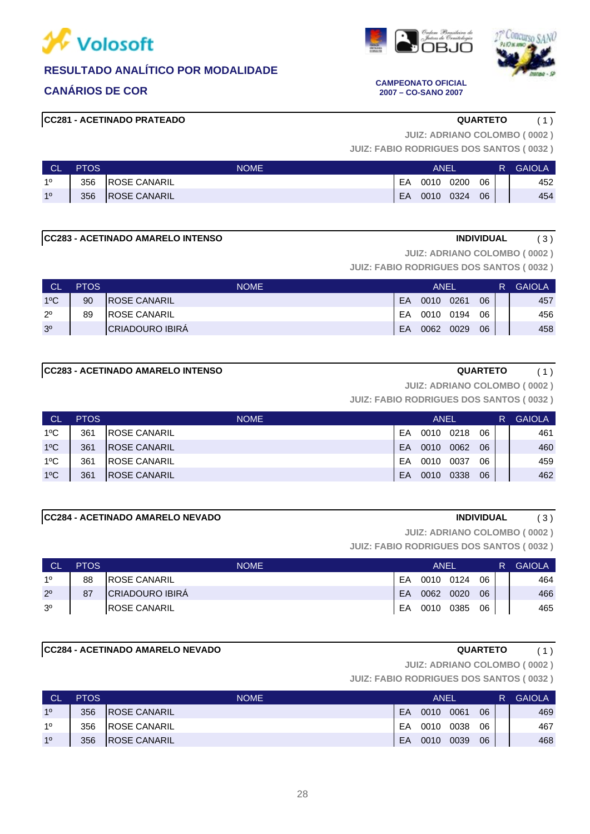





### **CANÁRIOS DE COR CAMPEONATO OFICIAL 2007 – CO-SANO 2007**

# **CC281 - ACETINADO PRATEADO QUARTETO** ( 1 )

**JUIZ: ADRIANO COLOMBO ( 0002 )**

**JUIZ: FABIO RODRIGUES DOS SANTOS ( 0032 )**

| <b>CL</b> | <b>PTOS</b> | <b>NOME</b>          |    | ANEI |      |    | R. | <b>GAIOLA</b> |
|-----------|-------------|----------------------|----|------|------|----|----|---------------|
| 10        | 356         | <b>IROSE CANARIL</b> | EA | 0010 | 0200 | 06 |    | 452           |
| 10        | 356         | <b>ROSE CANARIL</b>  | EA | 0010 | 0324 | 06 |    | 454           |

# **CC283 - ACETINADO AMARELO INTENSO INDIVIDUAL** ( 3 )

**JUIZ: ADRIANO COLOMBO ( 0002 )**

**JUIZ: FABIO RODRIGUES DOS SANTOS ( 0032 )**

| <b>CL</b>      | <b>PTOS</b> | <b>NOME</b>          | ANEL |      |      |    |  | <b>GAIOLA</b> |
|----------------|-------------|----------------------|------|------|------|----|--|---------------|
| $1^{\circ}$ C  | 90          | <b>IROSE CANARIL</b> | EA   | 0010 | 0261 | 06 |  | 457           |
| $2^{\circ}$    | 89          | <b>IROSE CANARIL</b> | EA   | 0010 | 0194 | 06 |  | 456           |
| 3 <sup>o</sup> |             | ICRIADOURO IBIRA     | EA   | 0062 | 0029 | 06 |  | 458           |

# **CC283 - ACETINADO AMARELO INTENSO QUARTETO** ( 1 )

**JUIZ: ADRIANO COLOMBO ( 0002 )**

**JUIZ: FABIO RODRIGUES DOS SANTOS ( 0032 )**

| <b>CL</b>     | <b>PTOS</b> | <b>NOME</b>          |    | ANEL |      |    | R | <b>GAIOLA</b> |
|---------------|-------------|----------------------|----|------|------|----|---|---------------|
| $1^{\circ}$ C | 361         | <b>IROSE CANARIL</b> | EA | 0010 | 0218 | 06 |   | 461           |
| $1^{\circ}$ C | 361         | <b>IROSE CANARIL</b> | FA | 0010 | 0062 | 06 |   | 460           |
| $1^{\circ}$ C | 361         | <b>IROSE CANARIL</b> | EA | 0010 | 0037 | 06 |   | 459           |
| $1^{\circ}$ C | 361         | <b>IROSE CANARIL</b> | EA | 0010 | 0338 | 06 |   | 462           |

# **CC284 - ACETINADO AMARELO NEVADO INDIVIDUAL** ( 3 )

**JUIZ: ADRIANO COLOMBO ( 0002 )**

**JUIZ: FABIO RODRIGUES DOS SANTOS ( 0032 )**

| CL             | <b>PTOS</b> | <b>NOME</b>            | ANEL      |           |      |    |  | <b>GAIOLA</b> |
|----------------|-------------|------------------------|-----------|-----------|------|----|--|---------------|
| 10             | 88          | <b>IROSE CANARIL</b>   | FA        | 0010 0124 |      | 06 |  | 464           |
| $2^{\circ}$    | 87          | <b>CRIADOURO IBIRÁ</b> | <b>FA</b> | 0062      | 0020 | 06 |  | 466           |
| 3 <sup>o</sup> |             | <b>IROSE CANARIL</b>   | EA        | 0010      | 0385 | 06 |  | 465           |

# **CC284 - ACETINADO AMARELO NEVADO QUARTETO** ( 1 )

**JUIZ: ADRIANO COLOMBO ( 0002 )**

| <b>CL</b> | <b>PTOS</b> | <b>NOME</b>          | ANEI |      |      |    |  | <b>GAIOLA</b> |
|-----------|-------------|----------------------|------|------|------|----|--|---------------|
| 10        | 356         | <b>IROSE CANARIL</b> | FA   | 0010 | 0061 | 06 |  | 469           |
| 10        | 356         | <b>IROSE CANARIL</b> | FA   | 0010 | 0038 | 06 |  | 467           |
| 10        | 356         | <b>ROSE CANARIL</b>  | EA   | 0010 | 0039 | 06 |  | 468           |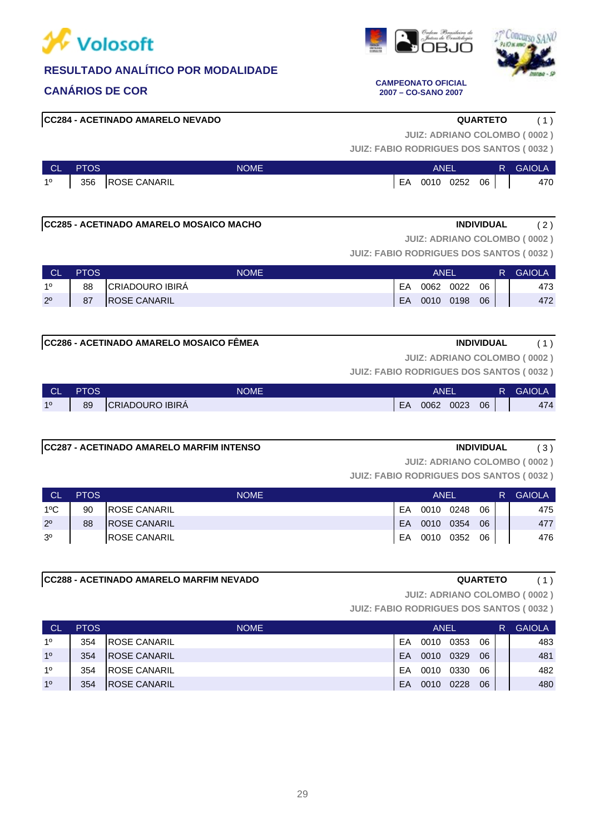





### **CANÁRIOS DE COR CAMPEONATO OFICIAL 2007 – CO-SANO 2007**

### **CC284 - ACETINADO AMARELO NEVADO QUARTETO** ( 1 )

**JUIZ: ADRIANO COLOMBO ( 0002 )**

**JUIZ: FABIO RODRIGUES DOS SANTOS ( 0032 )**

| <b>CL</b>   | <b>PTOS</b> | <b>NOME</b>      | ANEI |      |      |    | Æ | <b>GAIOLA</b> |
|-------------|-------------|------------------|------|------|------|----|---|---------------|
| $1^{\circ}$ |             | 356 ROSE CANARIL | EA   | 0010 | 0252 | 06 |   | 470           |

### **CC285 - ACETINADO AMARELO MOSAICO MACHO INDIVIDUAL** ( 2 )

**JUIZ: ADRIANO COLOMBO ( 0002 )**

**JUIZ: FABIO RODRIGUES DOS SANTOS ( 0032 )**

| <b>CL</b>   | <b>PTOS</b> | <b>NOME</b>         | ANEI |           |      |    |  | <b>GAIOLA</b> |
|-------------|-------------|---------------------|------|-----------|------|----|--|---------------|
| 10          | 88          | CRIADOURO IBIRA     | EA   | 0062      | 0022 | 06 |  | 473           |
| $2^{\circ}$ | 87          | <b>ROSE CANARIL</b> | EA   | 0010 0198 |      | 06 |  | 472           |

### **CC286 - ACETINADO AMARELO MOSAICO FÊMEA INDIVIDUAL** ( 1 )

**JUIZ: ADRIANO COLOMBO ( 0002 )**

**JUIZ: FABIO RODRIGUES DOS SANTOS ( 0032 )**

| <b>CL</b> | <b>PTOS</b> | <b>NOME</b>            | ANEI |      |      |    | R | <b>GAIOLA</b> |
|-----------|-------------|------------------------|------|------|------|----|---|---------------|
| 10        | 89          | <b>CRIADOURO IBIRÁ</b> | EA   | 0062 | 0023 | 06 |   | 474           |

# **CC287 - ACETINADO AMARELO MARFIM INTENSO INDIVIDUAL** ( 3 )

**JUIZ: ADRIANO COLOMBO ( 0002 )**

**JUIZ: FABIO RODRIGUES DOS SANTOS ( 0032 )**

| <b>CL</b>      | <b>PTOS</b> | <b>NOME</b>          | ANEL |      |      |    |  | <b>GAIOLA</b> |
|----------------|-------------|----------------------|------|------|------|----|--|---------------|
| $1^{\circ}$ C  | 90          | <b>IROSE CANARIL</b> | EA   | 0010 | 0248 | 06 |  | 475           |
| $2^{\circ}$    | 88          | <b>IROSE CANARIL</b> | EA   | 0010 | 0354 | 06 |  | 477           |
| 3 <sup>o</sup> |             | <b>ROSE CANARIL</b>  | EA   | 0010 | 0352 | 06 |  | 476           |

# **CC288 - ACETINADO AMARELO MARFIM NEVADO QUARTETO** ( 1 )

**JUIZ: ADRIANO COLOMBO ( 0002 )**

| ∣ CL           | <b>PTOS</b> | <b>NOME</b>          |    | ANEL |      | R  | <b>GAIOLA</b> |     |
|----------------|-------------|----------------------|----|------|------|----|---------------|-----|
| 10             | 354         | <b>IROSE CANARIL</b> | EΑ | 0010 | 0353 | 06 |               | 483 |
| 1 <sup>0</sup> | 354         | <b>IROSE CANARIL</b> | FA | 0010 | 0329 | 06 |               | 481 |
| 10             | 354         | <b>IROSE CANARIL</b> | FΑ | 0010 | 0330 | 06 |               | 482 |
| 1 <sup>0</sup> | 354         | <b>IROSE CANARIL</b> | EA | 0010 | 0228 | 06 |               | 480 |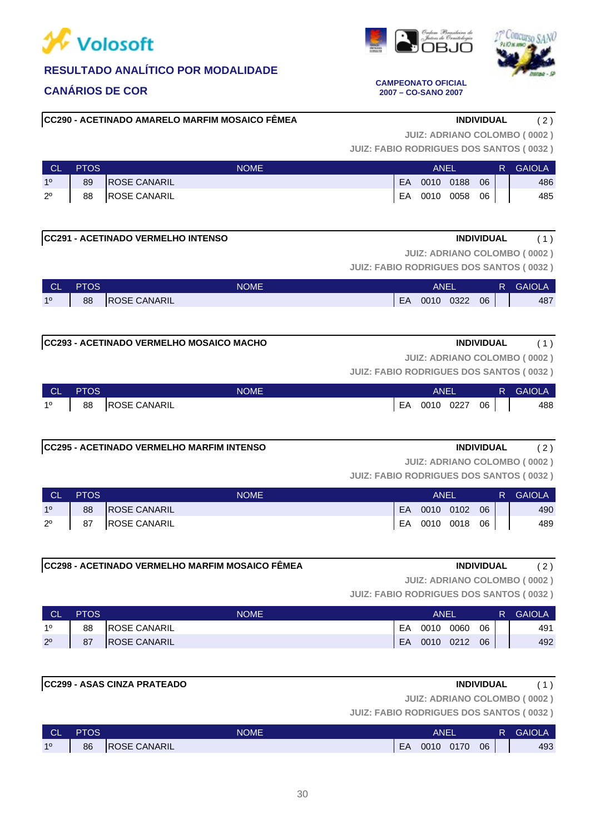

**2007 – CO-SANO 2007**

# **RESULTADO ANALÍTICO POR MODALIDADE**

# **CANÁRIOS DE COR CAMPEONATO OFICIAL**

**CC290 - ACETINADO AMARELO MARFIM MOSAICO FÊMEA INDIVIDUAL** ( 2 )

**JUIZ: ADRIANO COLOMBO ( 0002 )**

**JUIZ: FABIO RODRIGUES DOS SANTOS ( 0032 )**

| - CL           | <b>PTOS</b> | <b>NOME</b>         | ANEL |           |      |    | R. | <b>GAIOLA</b> |
|----------------|-------------|---------------------|------|-----------|------|----|----|---------------|
| 1 <sup>o</sup> | 89          | <b>ROSE CANARIL</b> | EA.  | 0010 0188 |      | 06 |    | 486           |
| $2^{\circ}$    | 88          | <b>ROSE CANARIL</b> | EA   | 0010      | 0058 | 06 |    | 485           |

### **CC291 - ACETINADO VERMELHO INTENSO INDIVIDUAL** ( 1 )

**JUIZ: FABIO RODRIGUES DOS SANTOS ( 0032 ) JUIZ: ADRIANO COLOMBO ( 0002 )**

| <b>CL</b> | <b>PTOS</b> | <b>NOME</b>         |    | ANEI |      |    | R | <b>GAIOLA</b> |
|-----------|-------------|---------------------|----|------|------|----|---|---------------|
| 10        | 88          | <b>ROSE CANARIL</b> | EA | 0010 | 0322 | 06 |   | 487           |

# **CC293 - ACETINADO VERMELHO MOSAICO MACHO INDIVIDUAL** ( 1 )

**JUIZ: ADRIANO COLOMBO ( 0002 )**

**JUIZ: FABIO RODRIGUES DOS SANTOS ( 0032 )**

| <b>NGL</b>  | <b>PTOS</b> | <b>NOME</b>         |    | ANEI |      |    | R | <b>GAIOLA</b> |
|-------------|-------------|---------------------|----|------|------|----|---|---------------|
| $1^{\circ}$ | 88          | <b>ROSE CANARIL</b> | EA | 0010 | 0227 | 06 |   | 488           |

### **CC295 - ACETINADO VERMELHO MARFIM INTENSO INDIVIDUAL** ( 2 )

**JUIZ: ADRIANO COLOMBO ( 0002 )**

**JUIZ: FABIO RODRIGUES DOS SANTOS ( 0032 )**

| <b>CL</b>   | <b>PTOS</b> | <b>NOME</b>         | ANEI |           |           |    | R. | <b>GAIOLA</b> |
|-------------|-------------|---------------------|------|-----------|-----------|----|----|---------------|
| 10          | 88          | <b>ROSE CANARIL</b> | EA   | 0010 0102 |           | 06 |    | 490           |
| $2^{\circ}$ | 87          | <b>ROSE CANARIL</b> | EA   |           | 0010 0018 | 06 |    | 489           |

# **CC298 - ACETINADO VERMELHO MARFIM MOSAICO FÊMEA INDIVIDUAL** ( 2 )

**JUIZ: ADRIANO COLOMBO ( 0002 )**

**JUIZ: FABIO RODRIGUES DOS SANTOS ( 0032 )**

| <b>CL</b>   | <b>PTOS</b> | NOME                | ANEI      |      |      |    | R. | <b>GAIOLA</b> |
|-------------|-------------|---------------------|-----------|------|------|----|----|---------------|
| 10          | 88          | <b>ROSE CANARIL</b> | EA        | 0010 | 0060 | 06 |    | 491           |
| $2^{\circ}$ | 87          | <b>ROSE CANARIL</b> | <b>EA</b> | 0010 | 0212 | 06 |    | 492           |

# **CC299 - ASAS CINZA PRATEADO INDIVIDUAL** ( 1 )

**JUIZ: ADRIANO COLOMBO ( 0002 )**

| <b>CL</b> | <b>PTOS</b> | NOME                |    | ANEI |      |    | <b>GAIOLA</b> |
|-----------|-------------|---------------------|----|------|------|----|---------------|
| 10        | 86          | <b>ROSE CANARIL</b> | EA | 0010 | 0170 | 06 | 493           |



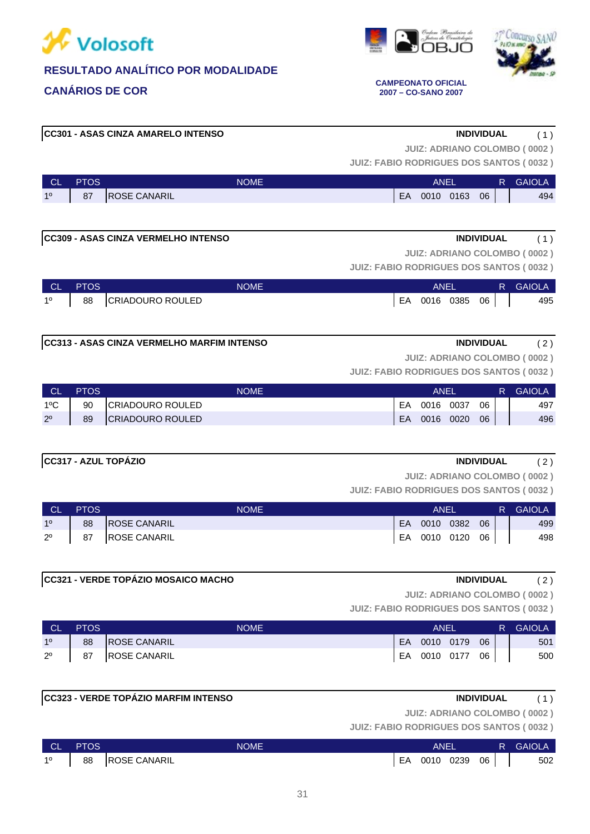



**CANÁRIOS DE COR CAMPEONATO OFICIAL 2007 – CO-SANO 2007**

# **CC301 - ASAS CINZA AMARELO INTENSO INDIVIDUAL** ( 1 )

**JUIZ: ADRIANO COLOMBO ( 0002 )**

**JUIZ: FABIO RODRIGUES DOS SANTOS ( 0032 )**

| CL | <b>PTOS</b> | <b>NOME</b>              |    | ANF  |      |    | INAF |
|----|-------------|--------------------------|----|------|------|----|------|
| 10 | 87          | <b>CANARIL</b><br>IROSE: | EA | 001C | 0163 | 06 | 494  |

| CC309 - ASAS CINZA VERMELHO INTENSO<br><b>INDIVIDUAL</b> |  |
|----------------------------------------------------------|--|
|                                                          |  |

**JUIZ: ADRIANO COLOMBO ( 0002 )**

**JUIZ: FABIO RODRIGUES DOS SANTOS ( 0032 )**

| ∣ CL' | <b>PTOS</b> | <b>NOME</b>      | ANEL |              |  | R. | <b>GAIOLA</b> |
|-------|-------------|------------------|------|--------------|--|----|---------------|
| 10    | 88          | CRIADOURO ROULED | EA   | 0016 0385 06 |  |    | 495           |

# **CC313 - ASAS CINZA VERMELHO MARFIM INTENSO INDIVIDUAL** ( 2 )

**JUIZ: ADRIANO COLOMBO ( 0002 )**

**JUIZ: FABIO RODRIGUES DOS SANTOS ( 0032 )**

| <b>CL</b>     | <b>PTOS</b> | <b>NOME</b>              | ANEI |      |      |    | R. | <b>GAIOLA</b> |
|---------------|-------------|--------------------------|------|------|------|----|----|---------------|
| $1^{\circ}$ C | 90          | <b>ICRIADOURO ROULED</b> | EA   | 0016 | 0037 | 06 |    | 497           |
| $2^{\circ}$   | 89          | <b>CRIADOURO ROULED</b>  | EA   | 0016 | 0020 | 06 |    | 496           |

# **CC317 - AZUL TOPÁZIO INDIVIDUAL** ( 2 )

**JUIZ: ADRIANO COLOMBO ( 0002 )**

**JUIZ: FABIO RODRIGUES DOS SANTOS ( 0032 )**

| <b>CIA</b>     | <b>PTOS</b> | <b>NOME</b>         | ANEI |              |  |    | R. | GAIOLA |
|----------------|-------------|---------------------|------|--------------|--|----|----|--------|
| 1 <sup>o</sup> | 88          | <b>ROSE CANARIL</b> | EA.  | $0010$ 0382  |  | 06 |    | 499    |
| $2^{\circ}$    | 87          | <b>ROSE CANARIL</b> |      | EA 0010 0120 |  | 06 |    | 498    |

# **CC321 - VERDE TOPÁZIO MOSAICO MACHO INDIVIDUAL** ( 2 )

**JUIZ: ADRIANO COLOMBO ( 0002 )**

| <b>CL</b>      | <b>PTOS</b> | NOME                | ANEI |           |  |    | R. | <b>GAIOLA</b> |
|----------------|-------------|---------------------|------|-----------|--|----|----|---------------|
| 1 <sup>o</sup> | 88          | <b>ROSE CANARIL</b> | EA   | 0010 0179 |  | 06 |    | 501           |
| $2^{\circ}$    | 87          | <b>ROSE CANARIL</b> | EA   | 0010 0177 |  | 06 |    | 500           |

|             | <b>CC323 - VERDE TOPÁZIO MARFIM INTENSO</b> | <b>INDIVIDUAL</b>                              |          |
|-------------|---------------------------------------------|------------------------------------------------|----------|
|             |                                             | JUIZ: ADRIANO COLOMBO (0002)                   |          |
|             |                                             | <b>JUIZ: FABIO RODRIGUES DOS SANTOS (0032)</b> |          |
| <b>DTOC</b> | <b>NIONAE</b>                               | $\lambda$ $\lambda$ $\Gamma$ $\Gamma$          | D CAIOLA |

| $\sim$<br>ᆚ | PTOS. | NOME'                |    | ANEI |      |    | <b>GAIOLA</b> |
|-------------|-------|----------------------|----|------|------|----|---------------|
| 10          | 88    | <b>IROSE CANARIL</b> | EA | 0010 | 0239 | 06 | 502           |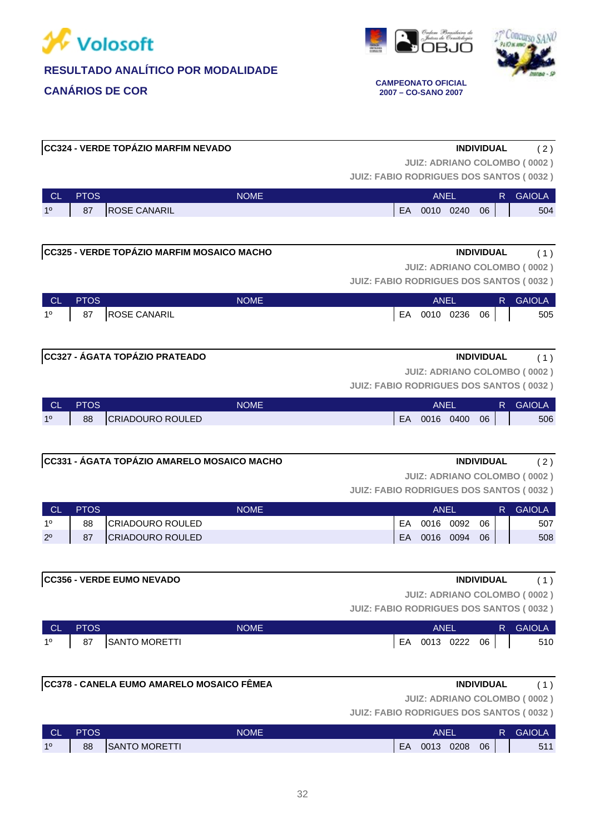





**2007 – CO-SANO 2007**

|                |             |                                             |             | <b>JUIZ: FABIO RODRIGUES DOS SANTOS (0032)</b> |              |             |                   | <b>JUIZ: ADRIANO COLOMBO (0002)</b> |
|----------------|-------------|---------------------------------------------|-------------|------------------------------------------------|--------------|-------------|-------------------|-------------------------------------|
| CL.            | <b>PTOS</b> |                                             | <b>NOME</b> |                                                |              | <b>ANEL</b> | R.                | <b>GAIOLA</b>                       |
| 1 <sup>0</sup> | 87          | <b>ROSE CANARIL</b>                         |             |                                                | EA 0010 0240 |             | 06                | 504                                 |
|                |             |                                             |             |                                                |              |             |                   |                                     |
|                |             | CC325 - VERDE TOPÁZIO MARFIM MOSAICO MACHO  |             |                                                |              |             | <b>INDIVIDUAL</b> | (1)                                 |
|                |             |                                             |             |                                                |              |             |                   | <b>JUIZ: ADRIANO COLOMBO (0002)</b> |
|                |             |                                             |             | <b>JUIZ: FABIO RODRIGUES DOS SANTOS (0032)</b> |              |             |                   |                                     |
| <b>CL</b>      | <b>PTOS</b> |                                             | <b>NOME</b> |                                                |              | <b>ANEL</b> | R.                | <b>GAIOLA</b>                       |
| 1 <sup>0</sup> | 87          | <b>ROSE CANARIL</b>                         |             |                                                | EA 0010 0236 |             | 06                | 505                                 |
|                |             |                                             |             |                                                |              |             |                   |                                     |
|                |             | CC327 - ÁGATA TOPÁZIO PRATEADO              |             |                                                |              |             | <b>INDIVIDUAL</b> | (1)                                 |
|                |             |                                             |             |                                                |              |             |                   | <b>JUIZ: ADRIANO COLOMBO (0002)</b> |
|                |             |                                             |             | <b>JUIZ: FABIO RODRIGUES DOS SANTOS (0032)</b> |              |             |                   |                                     |
| <b>CL</b>      | <b>PTOS</b> |                                             | <b>NOME</b> |                                                |              | <b>ANEL</b> |                   | R GAIOLA                            |
| 1 <sup>0</sup> | 88          | <b>CRIADOURO ROULED</b>                     |             |                                                | EA 0016 0400 |             | 06                | 506                                 |
|                |             |                                             |             |                                                |              |             |                   |                                     |
|                |             | CC331 - ÁGATA TOPÁZIO AMARELO MOSAICO MACHO |             |                                                |              |             | <b>INDIVIDUAL</b> | (2)                                 |
|                |             |                                             |             |                                                |              |             |                   | <b>JUIZ: ADRIANO COLOMBO (0002)</b> |
|                |             |                                             |             | <b>JUIZ: FABIO RODRIGUES DOS SANTOS (0032)</b> |              |             |                   |                                     |
| <b>CL</b>      | <b>PTOS</b> |                                             | <b>NOME</b> |                                                |              | <b>ANEL</b> | R.                | <b>GAIOLA</b>                       |
| $1^{\circ}$    | 88          | <b>CRIADOURO ROULED</b>                     |             | EA                                             |              | 0016 0092   | 06                | 507                                 |
| $2^{\circ}$    | 87          | <b>CRIADOURO ROULED</b>                     |             | EA                                             |              | 0016 0094   | 06                | 508                                 |
|                |             |                                             |             |                                                |              |             |                   |                                     |
|                |             | <b>CC356 - VERDE EUMO NEVADO</b>            |             |                                                |              |             | <b>INDIVIDUAL</b> | (1)                                 |
|                |             |                                             |             |                                                |              |             |                   | <b>JUIZ: ADRIANO COLOMBO (0002)</b> |
|                |             |                                             |             | JUIZ: FABIO RODRIGUES DOS SANTOS (0032)        |              |             |                   |                                     |
| <b>CL</b>      | <b>PTOS</b> |                                             | <b>NOME</b> |                                                |              | <b>ANEL</b> | R.                | <b>GAIOLA</b>                       |
| $1^{\circ}$    | 87          | SANTO MORETTI                               |             |                                                | EA 0013 0222 |             | 06                | 510                                 |
|                |             |                                             |             |                                                |              |             |                   |                                     |
|                |             | CC378 - CANELA EUMO AMARELO MOSAICO FÊMEA   |             |                                                |              |             | <b>INDIVIDUAL</b> |                                     |
|                |             |                                             |             |                                                |              |             |                   | (1)                                 |

**CC324 - VERDE TOPÁZIO MARFIM NEVADO INDIVIDUAL** ( 2 )

**JUIZ: ADRIANO COLOMBO ( 0002 )**

| <b>CL</b> | <b>PTOS</b> | <b>NOME</b>                |    | ANEL |      |    | GAIOLA |
|-----------|-------------|----------------------------|----|------|------|----|--------|
| 10        | 88          | ົ MORETTI<br><b>ISANTO</b> | EA | 0013 | 0208 | 06 | 511    |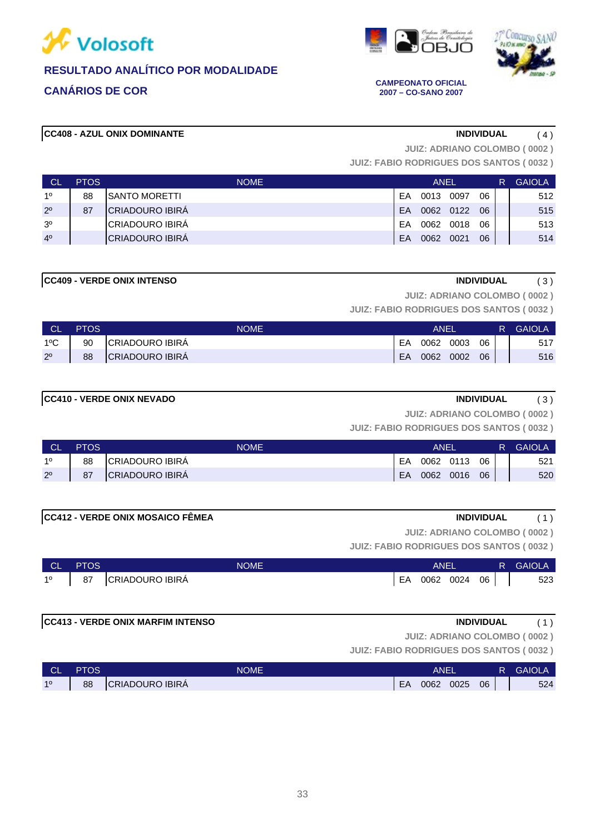





**2007 – CO-SANO 2007**

### **CC408 - AZUL ONIX DOMINANTE INDIVIDUAL** ( 4 )

**JUIZ: ADRIANO COLOMBO ( 0002 )**

**JUIZ: FABIO RODRIGUES DOS SANTOS ( 0032 )**

| <b>CL</b>      | <b>PTOS</b> | NOME <sup>1</sup>       |    | ANEL |      |    | R | <b>GAIOLA</b> |
|----------------|-------------|-------------------------|----|------|------|----|---|---------------|
| 10             | 88          | ISANTO MORETTI          | FΑ | 0013 | 0097 | 06 |   | 512           |
| $2^{\circ}$    | 87          | <b>ICRIADOURO IBIRA</b> | FA | 0062 | 0122 | 06 |   | 515           |
| 3 <sup>o</sup> |             | ICRIADOURO IBIRA        | FΑ | 0062 | 0018 | 06 |   | 513           |
| 4 <sup>0</sup> |             | ICRIADOURO IBIRÁ        | FΑ | 0062 | 0021 | 06 |   | 514           |

### **CC409 - VERDE ONIX INTENSO INDIVIDUAL** ( 3 )

**JUIZ: ADRIANO COLOMBO ( 0002 )**

**JUIZ: FABIO RODRIGUES DOS SANTOS ( 0032 )**

| <b>CL</b>     | <b>PTOS</b> | <b>NOME</b>            |    | ANEI |      |    | R. | <b>GAIOLA</b> |
|---------------|-------------|------------------------|----|------|------|----|----|---------------|
| $1^{\circ}$ C | 90          | CRIADOURO IBIRA        | EA | 0062 | 0003 | 06 |    | 517           |
| $2^{\circ}$   | 88          | <b>CRIADOURO IBIRA</b> | EA | 0062 | 0002 | 06 |    | 516           |

# **CC410 - VERDE ONIX NEVADO INDIVIDUAL** ( 3 )

**JUIZ: ADRIANO COLOMBO ( 0002 )**

**JUIZ: FABIO RODRIGUES DOS SANTOS ( 0032 )**

| ⊟ CL'       | <b>PTOS</b> | <b>NOME</b>            |    | ANEI      |      |    | <b>GAIOLA</b> |
|-------------|-------------|------------------------|----|-----------|------|----|---------------|
| 10          | 88          | <b>CRIADOURO IBIRA</b> | EA | 0062 0113 |      | 06 | 521           |
| $2^{\circ}$ | 87          | <b>CRIADOURO IBIRA</b> | EA | 0062      | 0016 | 06 | 520           |

### **CC412 - VERDE ONIX MOSAICO FÊMEA INDIVIDUAL** ( 1 )

**JUIZ: ADRIANO COLOMBO ( 0002 )**

**JUIZ: FABIO RODRIGUES DOS SANTOS ( 0032 )**

| <b>CL</b>   | <b>PTOS</b> | <b>NOME</b>            |    | <b>ANEI</b> |      |    | R. | <b>GAIOLA</b> |
|-------------|-------------|------------------------|----|-------------|------|----|----|---------------|
| $1^{\circ}$ | 87          | <b>CRIADOURO IBIRA</b> | EA | 0062        | 0024 | 06 |    | 523           |

### **CC413 - VERDE ONIX MARFIM INTENSO INDIVIDUAL** ( 1 )

**JUIZ: ADRIANO COLOMBO ( 0002 )**

| <b>CL</b>      | <b>PTOS</b> | <b>NOME</b>     |    | ANEI |      |    | <b>R</b> GAIOLA |
|----------------|-------------|-----------------|----|------|------|----|-----------------|
| 1 <sup>0</sup> | 88          | CRIADOURO IBIRA | EA | 0062 | 0025 | 06 | 524             |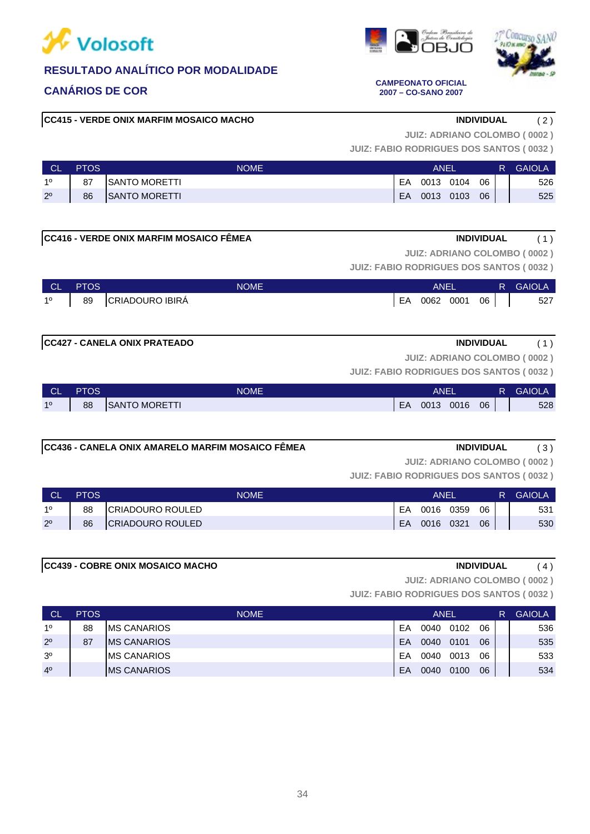

# **CANÁRIOS DE COR CAMPEONATO OFICIAL**

# **CC415 - VERDE ONIX MARFIM MOSAICO MACHO INDIVIDUAL** ( 2 )

**JUIZ: FABIO RODRIGUES DOS SANTOS ( 0032 )**

**JUIZ: ADRIANO COLOMBO ( 0002 )**

| <b>CL</b>   | <b>PTOS</b> | <b>NOME</b>           |    | ANEL |      |    | R | <b>GAIOLA</b> |
|-------------|-------------|-----------------------|----|------|------|----|---|---------------|
| 10          | 87          | <b>ISANTO MORETTI</b> | EA | 0013 | 0104 | 06 |   | 526           |
| $2^{\circ}$ | 86          | <b>SANTO MORETTI</b>  | EA | 0013 | 0103 | 06 |   | 525           |
|             |             |                       |    |      |      |    |   |               |

| CC416 - VERDE ONIX MARFIM MOSAICO FËMEA<br><b>INDIVIDUAL</b> |  |  |
|--------------------------------------------------------------|--|--|
|--------------------------------------------------------------|--|--|

**JUIZ: ADRIANO COLOMBO ( 0002 )**

**JUIZ: FABIO RODRIGUES DOS SANTOS ( 0032 )**

| CL.         | <b>PTOS</b> | <b>NOME</b>     |    | <b>ANEL</b> |      |    | R GAIOLA |
|-------------|-------------|-----------------|----|-------------|------|----|----------|
| $1^{\circ}$ | 89          | CRIADOURO IBIRA | EA | 0062        | 0001 | 06 | 527      |

# **CC427 - CANELA ONIX PRATEADO INDIVIDUAL** ( 1 )

**JUIZ: ADRIANO COLOMBO ( 0002 )**

**JUIZ: FABIO RODRIGUES DOS SANTOS ( 0032 )**

| <b>CL</b> | <b>PTOS</b> | <b>NOME</b>           |    | ANEI |      |    | ₹ | <b>GAIOLA</b> |
|-----------|-------------|-----------------------|----|------|------|----|---|---------------|
| 10        | 88          | <b>ISANTO MORETTI</b> | EA | 0013 | 0016 | 06 |   | 528           |

# **CC436 - CANELA ONIX AMARELO MARFIM MOSAICO FÊMEA INDIVIDUAL** ( 3 )

**JUIZ: ADRIANO COLOMBO ( 0002 )**

**JUIZ: FABIO RODRIGUES DOS SANTOS ( 0032 )**

| <b>NOL</b>  | <b>PTOS</b> | <b>NOME</b>             |    | ANEI |      |    | <b>GAIOLA</b> |
|-------------|-------------|-------------------------|----|------|------|----|---------------|
| 10          | 88          | ICRIADOURO ROULED       | EA | 0016 | 0359 | 06 | 531           |
| $2^{\circ}$ | 86          | <b>CRIADOURO ROULED</b> | EA | 0016 | 0321 | 06 | 530           |

# **CC439 - COBRE ONIX MOSAICO MACHO INDIVIDUAL** ( 4 )

**JUIZ: ADRIANO COLOMBO ( 0002 )**

**JUIZ: FABIO RODRIGUES DOS SANTOS ( 0032 )**

| <b>CL</b>      | <b>PTOS</b> | <b>NOME</b>         |    | ANEL |      |    | R | <b>GAIOLA</b> |
|----------------|-------------|---------------------|----|------|------|----|---|---------------|
| 10             | 88          | <b>IMS CANARIOS</b> | EA | 0040 | 0102 | 06 |   | 536           |
| $2^{\circ}$    | 87          | <b>IMS CANARIOS</b> | EΑ | 0040 | 0101 | 06 |   | 535           |
| 3 <sup>o</sup> |             | <b>MS CANARIOS</b>  | EА | 0040 | 0013 | 06 |   | 533           |
| 4 <sup>0</sup> |             | <b>IMS CANARIOS</b> | EΑ | 0040 | 0100 | 06 |   | 534           |



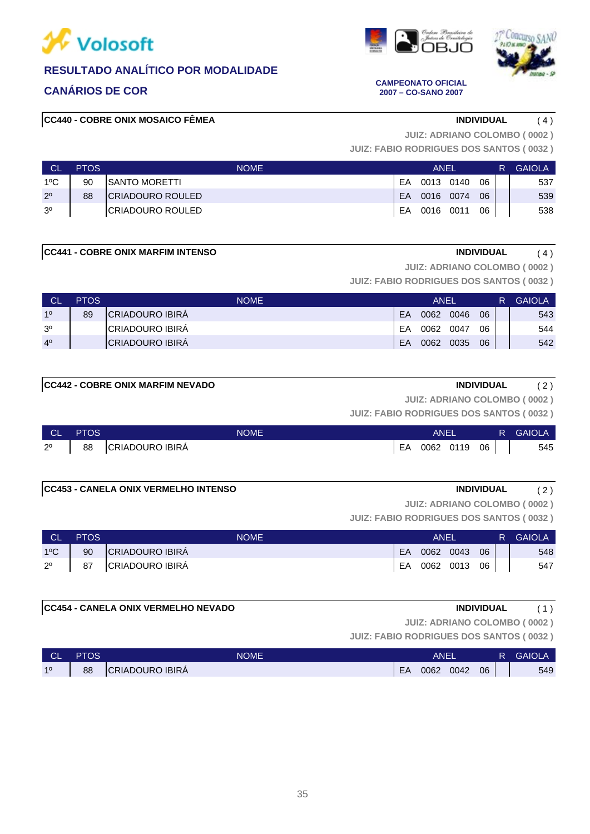







**CANÁRIOS DE COR CAMPEONATO OFICIAL 2007 – CO-SANO 2007**

# **CC440 - COBRE ONIX MOSAICO FÊMEA INDIVIDUAL** ( 4 )

**JUIZ: ADRIANO COLOMBO ( 0002 )**

**JUIZ: FABIO RODRIGUES DOS SANTOS ( 0032 )**

| <b>CL</b>      | <b>PTOS</b> | <b>NOME</b>              | ANEL |           |  |    |  | <b>GAIOLA</b> |
|----------------|-------------|--------------------------|------|-----------|--|----|--|---------------|
| 1ºC            | 90          | <b>ISANTO MORETTI</b>    | EA   | 0013 0140 |  | 06 |  | 537           |
| $2^{\circ}$    | 88          | <b>ICRIADOURO ROULED</b> | FA.  | 0016 0074 |  | 06 |  | 539           |
| 3 <sup>o</sup> |             | <b>ICRIADOURO ROULED</b> | EA   | 0016 0011 |  | 06 |  | 538           |

**CC441 - COBRE ONIX MARFIM INTENSO INDIVIDUAL** ( 4 )

**JUIZ: ADRIANO COLOMBO ( 0002 )**

**JUIZ: FABIO RODRIGUES DOS SANTOS ( 0032 )**

| <b>CL</b>      | <b>PTOS</b> | <b>NOME</b>             | <b>ANEL</b> |      |      |    |  | <b>GAIOLA</b> |
|----------------|-------------|-------------------------|-------------|------|------|----|--|---------------|
| 10             | 89          | <b>ICRIADOURO IBIRA</b> | EA          | 0062 | 0046 | 06 |  | 543           |
| 3 <sup>o</sup> |             | ICRIADOURO IBIRA        | EA          | 0062 | 0047 | 06 |  | 544           |
| 4 <sup>0</sup> |             | <b>CRIADOURO IBIRA</b>  | EA          | 0062 | 0035 | 06 |  | 542           |

# **CC442 - COBRE ONIX MARFIM NEVADO INDIVIDUAL** ( 2 )

**JUIZ: ADRIANO COLOMBO ( 0002 )**

**JUIZ: FABIO RODRIGUES DOS SANTOS ( 0032 )**

| ∣ CL'       | <b>PTOS</b> | <b>NOME</b>             |    | ANE. |      |    | R | <b>GAIOLA</b> |
|-------------|-------------|-------------------------|----|------|------|----|---|---------------|
| $2^{\circ}$ | 88          | <b>ICRIADOURO IBIRA</b> | EA | 0062 | 0119 | 06 |   | 545           |

**CC453 - CANELA ONIX VERMELHO INTENSO INDIVIDUAL** ( 2 )

**JUIZ: ADRIANO COLOMBO ( 0002 )**

**JUIZ: FABIO RODRIGUES DOS SANTOS ( 0032 )**

| ∣ CL'        | <b>PTOS</b> | <b>NOME</b>     | ANEL      |              |  |    | R GAIOLA |
|--------------|-------------|-----------------|-----------|--------------|--|----|----------|
| $1^{\circ}C$ | 90          | CRIADOURO IBIRA | <b>EA</b> | 0062 0043    |  | 06 | 548      |
| $2^{\circ}$  | 87          | CRIADOURO IBIRÁ | EA        | 0062 0013 06 |  |    | 547      |

### **CC454 - CANELA ONIX VERMELHO NEVADO INDIVIDUAL** ( 1 )

**JUIZ: ADRIANO COLOMBO ( 0002 )**

| l Cli<br>◡∟ | PTOS | <b>NOME</b>             | ANE. |      |      |    | R | <b>GAIOLA</b> |
|-------------|------|-------------------------|------|------|------|----|---|---------------|
| 10          | 88   | <b>ICRIADOURO IBIRA</b> | EA   | 0062 | 0042 | 06 |   | 549           |